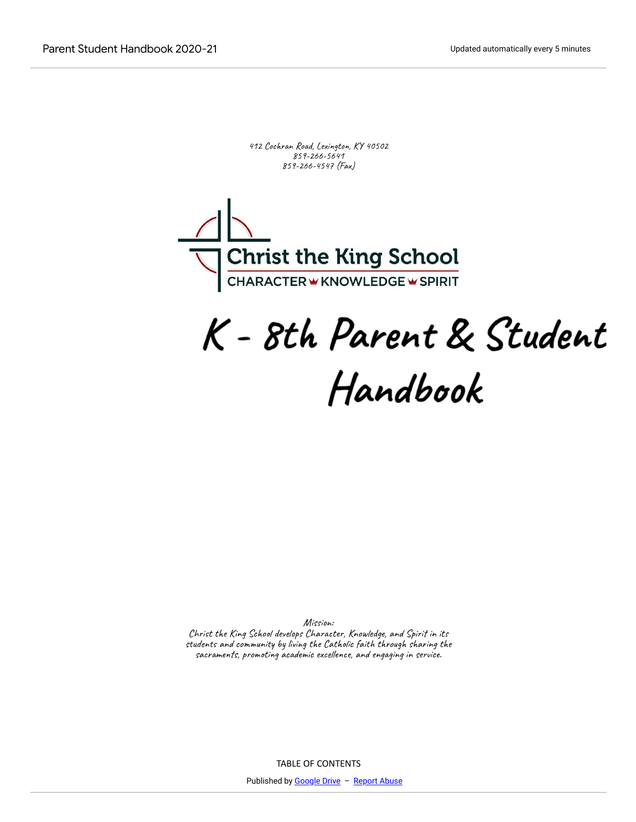412 Cochran Road, Lexington, KY 40502 859-266-5641 859-266-4547 (Fax)



# K - 8th Parent & Student Handbook

Mission:

Christ the King School develops Character, Knowledge, and Spirit in its students and community by living the Catholic faith through sharing the sacraments, promoting academic excellence, and engaging in service.

TABLE OF CONTENTS

Published by [Google Drive](https://docs.google.com/) - [Report Abuse](https://docs.google.com/u/0/abuse?id=AKkXjow2Ww2zc6yLF4num4RNSen3xDcdpIm9X-83fXZBH4ty6HF4pUakc3MwbFl6RxynIYkRnPqFKKgHYXP6-r8:0)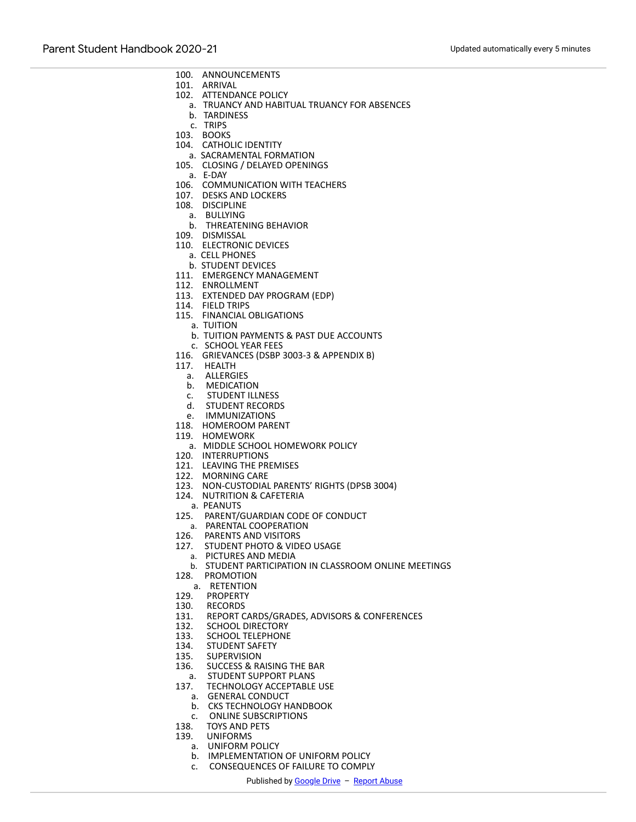- POLICIES and PROCEDURES 100. ANNOUNCEMENTS
- 101. ARRIVAL
- 102. ATTENDANCE POLICY
	- a. TRUANCY AND HABITUAL TRUANCY FOR ABSENCES
- b. TARDINESS
- c. TRIPS
- 103. BOOKS
- 104. CATHOLIC IDENTITY
- a. SACRAMENTAL FORMATION
- 105. CLOSING / DELAYED OPENINGS
- a. E-DAY
- 106. COMMUNICATION WITH TEACHERS
- 107. DESKS AND LOCKERS
- 108. DISCIPLINE
	- a. BULLYING
	- b. THREATENING BEHAVIOR
- 109. DISMISSAL
- 110. ELECTRONIC DEVICES
	- a. CELL PHONES
	- b. STUDENT DEVICES
- 111. EMERGENCY MANAGEMENT
- 112. ENROLLMENT
- 113. EXTENDED DAY PROGRAM (EDP)
- 114. FIELD TRIPS
- 115. FINANCIAL OBLIGATIONS
	- a. TUITION
	- b. TUITION PAYMENTS & PAST DUE ACCOUNTS
- c. SCHOOL YEAR FEES
- 116. GRIEVANCES (DSBP 3003-3 & APPENDIX B)
- 117. HEALTH
	- a. ALLERGIES
	- b. MEDICATION
- c. STUDENT ILLNESS
- d. STUDENT RECORDS
- e. IMMUNIZATIONS
- 118. HOMEROOM PARENT
- 119. HOMEWORK
	- a. MIDDLE SCHOOL HOMEWORK POLICY
- 120. INTERRUPTIONS
- 121. LEAVING THE PREMISES
- 122. MORNING CARE
- 123. NON-CUSTODIAL PARENTS' RIGHTS (DPSB 3004)
- 124. NUTRITION & CAFETERIA
	- a. PEANUTS
- 125. PARENT/GUARDIAN CODE OF CONDUCT
- a. PARENTAL COOPERATION
- 126. PARENTS AND VISITORS
- 127. STUDENT PHOTO & VIDEO USAGE
- a. PICTURES AND MEDIA
- b. STUDENT PARTICIPATION IN CLASSROOM ONLINE MEETINGS
- 128. PROMOTION
	- a. RETENTION
- 129. PROPERTY
- 130. RECORDS
- 131. REPORT CARDS/GRADES, ADVISORS & CONFERENCES
- 132. SCHOOL DIRECTORY
- 133. SCHOOL TELEPHONE
- 134. STUDENT SAFETY
- 135. SUPERVISION
- 136. SUCCESS & RAISING THE BAR
- a. STUDENT SUPPORT PLANS
- 137. TECHNOLOGY ACCEPTABLE USE
	- a. GENERAL CONDUCT
	- b. CKS TECHNOLOGY HANDBOOK
	- c. ONLINE SUBSCRIPTIONS
- 138. TOYS AND PETS
- 139. UNIFORMS
	- a. UNIFORM POLICY
	- b. IMPLEMENTATION OF UNIFORM POLICY
	- c. CONSEQUENCES OF FAILURE TO COMPLY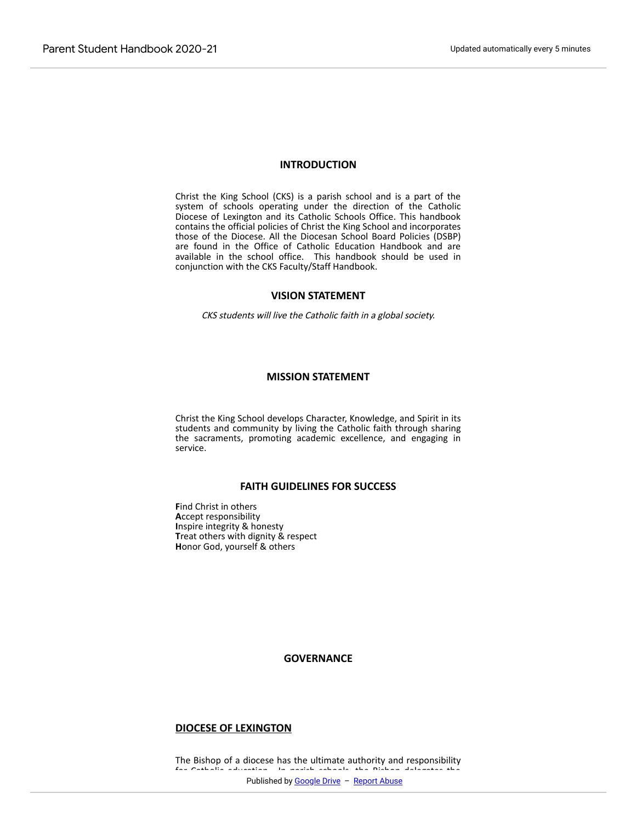#### **INTRODUCTION**

Christ the King School (CKS) is a parish school and is a part of the system of schools operating under the direction of the Catholic Diocese of Lexington and its Catholic Schools Office. This handbook contains the official policies of Christ the King School and incorporates those of the Diocese. All the Diocesan School Board Policies (DSBP) are found in the Office of Catholic Education Handbook and are available in the school office. This handbook should be used in conjunction with the CKS Faculty/Staff Handbook.

# **VISION STATEMENT**

CKS students will live the Catholic faith in a global society.

# **MISSION STATEMENT**

Christ the King School develops Character, Knowledge, and Spirit in its students and community by living the Catholic faith through sharing the sacraments, promoting academic excellence, and engaging in service.

# **FAITH GUIDELINES FOR SUCCESS**

**F**ind Christ in others **A**ccept responsibility **I**nspire integrity & honesty **T**reat others with dignity & respect **H**onor God, yourself & others

**GOVERNANCE**

#### **DIOCESE OF LEXINGTON**

The Bishop of a diocese has the ultimate authority and responsibility for Catholic education. In parish schools, the Bishop dels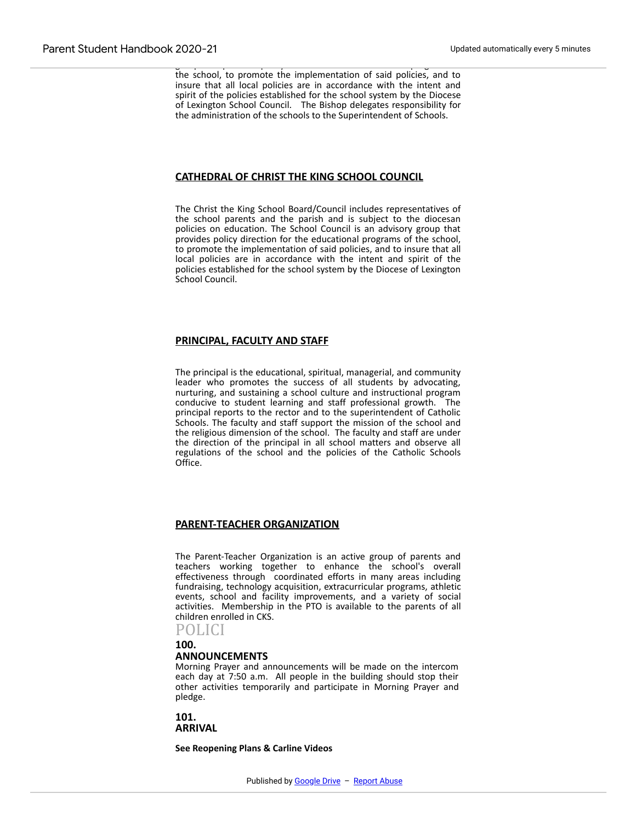group that provides policy direction for the educational programs of the school, to promote the implementation of said policies, and to insure that all local policies are in accordance with the intent and spirit of the policies established for the school system by the Diocese of Lexington School Council. The Bishop delegates responsibility for the administration of the schools to the Superintendent of Schools.

# **CATHEDRAL OF CHRIST THE KING SCHOOL COUNCIL**

The Christ the King School Board/Council includes representatives of the school parents and the parish and is subject to the diocesan policies on education. The School Council is an advisory group that provides policy direction for the educational programs of the school, to promote the implementation of said policies, and to insure that all local policies are in accordance with the intent and spirit of the policies established for the school system by the Diocese of Lexington School Council.

# **PRINCIPAL, FACULTY AND STAFF**

The principal is the educational, spiritual, managerial, and community leader who promotes the success of all students by advocating, nurturing, and sustaining a school culture and instructional program conducive to student learning and staff professional growth. The principal reports to the rector and to the superintendent of Catholic Schools. The faculty and staff support the mission of the school and the religious dimension of the school. The faculty and staff are under the direction of the principal in all school matters and observe all regulations of the school and the policies of the Catholic Schools Office.

# **PARENT-TEACHER ORGANIZATION**

The Parent-Teacher Organization is an active group of parents and teachers working together to enhance the school's overall effectiveness through coordinated efforts in many areas including fundraising, technology acquisition, extracurricular programs, athletic events, school and facility improvements, and a variety of social activities. Membership in the PTO is available to the parents of all children enrolled in CKS.

POLICI

**100.**

### **ANNOUNCEMENTS**

Morning Prayer and announcements will be made on the intercom each day at 7:50 a.m. All people in the building should stop their other activities temporarily and participate in Morning Prayer and pledge.

**101. ARRIVAL**

**See Reopening Plans & Carline Videos**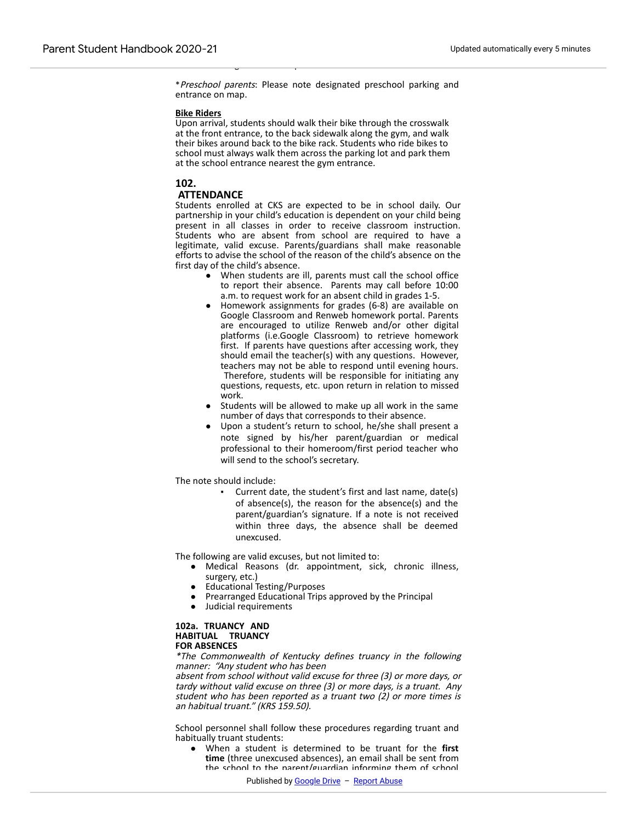\*Preschool parents: Please note designated preschool parking and entrance on map.

which will merge into the drop-off line.

#### **Bike Riders**

Upon arrival, students should walk their bike through the crosswalk at the front entrance, to the back sidewalk along the gym, and walk their bikes around back to the bike rack. Students who ride bikes to school must always walk them across the parking lot and park them at the school entrance nearest the gym entrance.

### **102.**

# **ATTENDANCE**

Students enrolled at CKS are expected to be in school daily. Our partnership in your child's education is dependent on your child being present in all classes in order to receive classroom instruction. Students who are absent from school are required to have a legitimate, valid excuse. Parents/guardians shall make reasonable efforts to advise the school of the reason of the child's absence on the first day of the child's absence.

- When students are ill, parents must call the school office to report their absence. Parents may call before 10:00 a.m. to request work for an absent child in grades 1-5.
- Homework assignments for grades (6-8) are available on Google Classroom and Renweb homework portal. Parents are encouraged to utilize Renweb and/or other digital platforms (i.e.Google Classroom) to retrieve homework first. If parents have questions after accessing work, they should email the teacher(s) with any questions. However, teachers may not be able to respond until evening hours. Therefore, students will be responsible for initiating any questions, requests, etc. upon return in relation to missed work.
- Students will be allowed to make up all work in the same number of days that corresponds to their absence.
- Upon a student's return to school, he/she shall present a note signed by his/her parent/guardian or medical professional to their homeroom/first period teacher who will send to the school's secretary.

The note should include:

Current date, the student's first and last name, date(s) of absence(s), the reason for the absence(s) and the parent/guardian's signature. If a note is not received within three days, the absence shall be deemed unexcused.

The following are valid excuses, but not limited to:

- Medical Reasons (dr. appointment, sick, chronic illness, surgery, etc.)
- Educational Testing/Purposes
- Prearranged Educational Trips approved by the Principal
- Judicial requirements

#### **102a. TRUANCY AND HABITUAL TRUANCY FOR ABSENCES**

\*The Commonwealth of Kentucky defines truancy in the following manner: "Any student who has been

absent from school without valid excuse for three (3) or more days, or tardy without valid excuse on three (3) or more days, is a truant. Any student who has been reported as a truant two (2) or more times is an habitual truant." (KRS 159.50).

School personnel shall follow these procedures regarding truant and habitually truant students:

● When a student is determined to be truant for the **first time** (three unexcused absences), an email shall be sent from the school to the parent/guardian informing them of school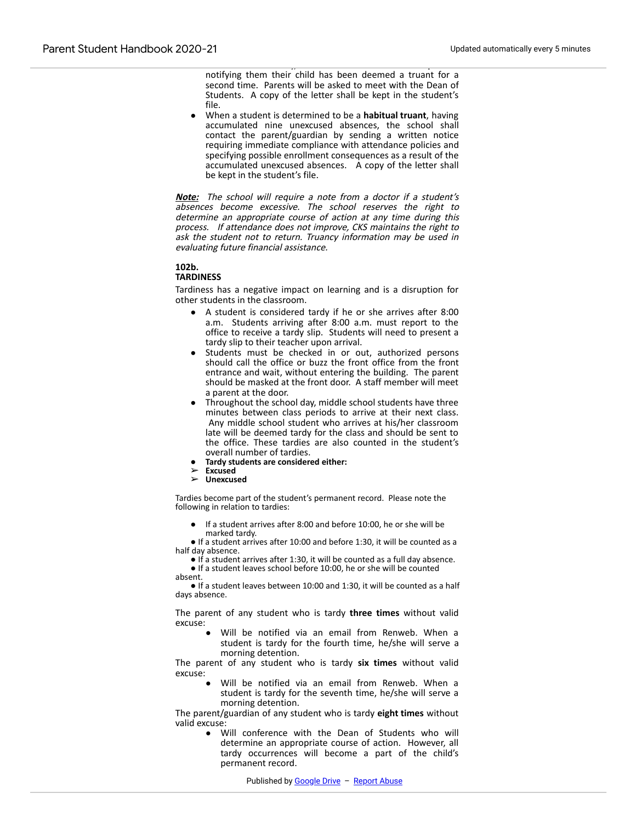$\mathbf{v}$ notifying them their child has been deemed a truant for a second time. Parents will be asked to meet with the Dean of Students. A copy of the letter shall be kept in the student's file.

● When a student is determined to be a **habitual truant**, having accumulated nine unexcused absences, the school shall contact the parent/guardian by sending a written notice requiring immediate compliance with attendance policies and specifying possible enrollment consequences as a result of the accumulated unexcused absences. A copy of the letter shall be kept in the student's file.

**Note:** The school will require a note from a doctor if a student's absences become excessive. The school reserves the right to determine an appropriate course of action at any time during this process. If attendance does not improve, CKS maintains the right to ask the student not to return. Truancy information may be used in evaluating future financial assistance.

#### **102b.**

#### **TARDINESS**

Tardiness has a negative impact on learning and is a disruption for other students in the classroom.

- A student is considered tardy if he or she arrives after 8:00 a.m. Students arriving after 8:00 a.m. must report to the office to receive a tardy slip. Students will need to present a tardy slip to their teacher upon arrival.
- Students must be checked in or out, authorized persons should call the office or buzz the front office from the front entrance and wait, without entering the building. The parent should be masked at the front door. A staff member will meet a parent at the door.
- Throughout the school day, middle school students have three minutes between class periods to arrive at their next class. Any middle school student who arrives at his/her classroom late will be deemed tardy for the class and should be sent to the office. These tardies are also counted in the student's overall number of tardies.
- **Tardy students are considered either:** ➢ **Excused** ➢ **Unexcused**
- 
- 

Tardies become part of the student's permanent record. Please note the following in relation to tardies:

If a student arrives after 8:00 and before 10:00, he or she will be marked tardy.

● If a student arrives after 10:00 and before 1:30, it will be counted as a half day absence.

● If a student arrives after 1:30, it will be counted as a full day absence.

● If a student leaves school before 10:00, he or she will be counted absent.

● If a student leaves between 10:00 and 1:30, it will be counted as a half days absence.

The parent of any student who is tardy **three times** without valid excuse:

> Will be notified via an email from Renweb. When a student is tardy for the fourth time, he/she will serve a morning detention.

The parent of any student who is tardy **six times** without valid excuse:

> Will be notified via an email from Renweb. When a student is tardy for the seventh time, he/she will serve a morning detention.

The parent/guardian of any student who is tardy **eight times** without valid excuse:

> ● Will conference with the Dean of Students who will determine an appropriate course of action. However, all tardy occurrences will become a part of the child's permanent record.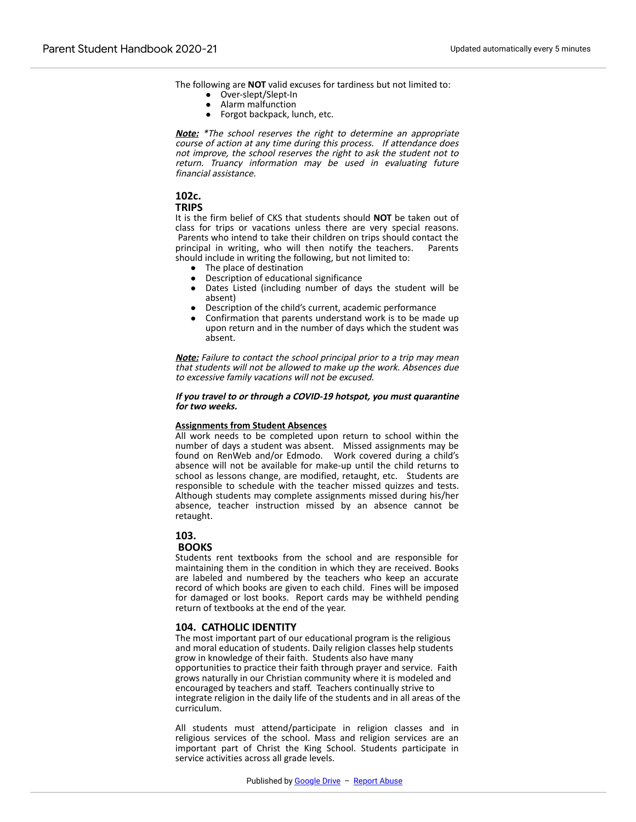The following are **NOT** valid excuses for tardiness but not limited to:

- Over-slept/Slept-In
- Alarm malfunction
- Forgot backpack, lunch, etc.

● Onset of inclement weather

**Note:** \*The school reserves the right to determine an appropriate course of action at any time during this process. If attendance does not improve, the school reserves the right to ask the student not to return. Truancy information may be used in evaluating future financial assistance.

# **102c.**

#### **TRIPS**

It is the firm belief of CKS that students should **NOT** be taken out of class for trips or vacations unless there are very special reasons. Parents who intend to take their children on trips should contact the principal in writing, who will then notify the teachers. Parents should include in writing the following, but not limited to:

- The place of destination
- Description of educational significance
- Dates Listed (including number of days the student will be absent)
- Description of the child's current, academic performance
- Confirmation that parents understand work is to be made up upon return and in the number of days which the student was absent.

**Note:** Failure to contact the school principal prior to a trip may mean that students will not be allowed to make up the work. Absences due to excessive family vacations will not be excused.

#### **If you travel to or through a COVID-19 hotspot, you must quarantine for two weeks.**

#### **Assignments from Student Absences**

All work needs to be completed upon return to school within the number of days a student was absent. Missed assignments may be found on RenWeb and/or Edmodo. Work covered during a child's absence will not be available for make-up until the child returns to school as lessons change, are modified, retaught, etc. Students are responsible to schedule with the teacher missed quizzes and tests. Although students may complete assignments missed during his/her absence, teacher instruction missed by an absence cannot be retaught.

#### **103.**

#### **BOOKS**

Students rent textbooks from the school and are responsible for maintaining them in the condition in which they are received. Books are labeled and numbered by the teachers who keep an accurate record of which books are given to each child. Fines will be imposed for damaged or lost books. Report cards may be withheld pending return of textbooks at the end of the year.

# **104. CATHOLIC IDENTITY**

The most important part of our educational program is the religious and moral education of students. Daily religion classes help students grow in knowledge of their faith. Students also have many opportunities to practice their faith through prayer and service. Faith grows naturally in our Christian community where it is modeled and encouraged by teachers and staff. Teachers continually strive to integrate religion in the daily life of the students and in all areas of the curriculum.

All students must attend/participate in religion classes and in religious services of the school. Mass and religion services are an important part of Christ the King School. Students participate in service activities across all grade levels.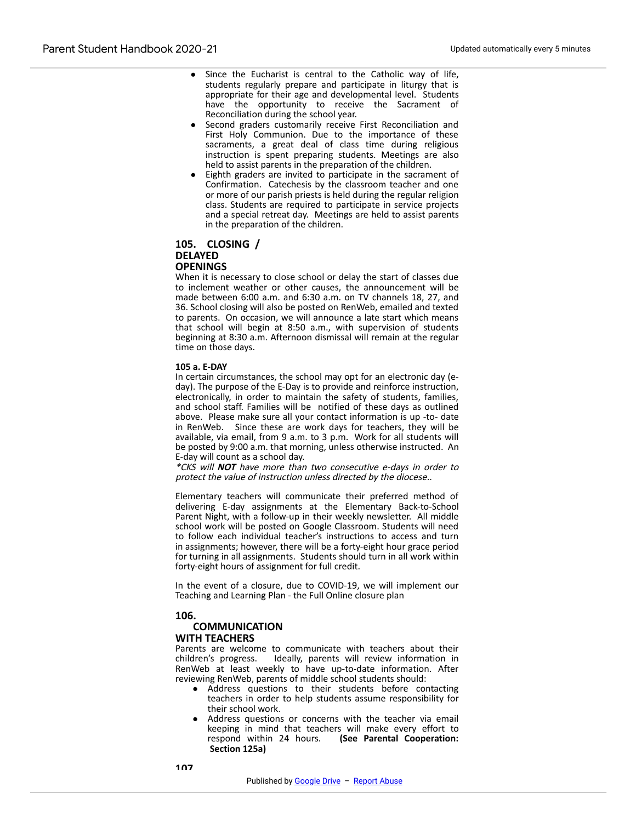- Since the Eucharist is central to the Catholic way of life, students regularly prepare and participate in liturgy that is appropriate for their age and developmental level. Students have the opportunity to receive the Sacrament of Reconciliation during the school year.
- Second graders customarily receive First Reconciliation and First Holy Communion. Due to the importance of these sacraments, a great deal of class time during religious instruction is spent preparing students. Meetings are also held to assist parents in the preparation of the children.
- Eighth graders are invited to participate in the sacrament of Confirmation. Catechesis by the classroom teacher and one or more of our parish priests is held during the regular religion class. Students are required to participate in service projects and a special retreat day. Meetings are held to assist parents in the preparation of the children.

#### **105. CLOSING / DELAYED OPENINGS**

**104a. SACRAMENTAL FORMATION**

When it is necessary to close school or delay the start of classes due to inclement weather or other causes, the announcement will be made between 6:00 a.m. and 6:30 a.m. on TV channels 18, 27, and 36. School closing will also be posted on RenWeb, emailed and texted to parents. On occasion, we will announce a late start which means that school will begin at 8:50 a.m., with supervision of students beginning at 8:30 a.m. Afternoon dismissal will remain at the regular time on those days.

#### **105 a. E-DAY**

In certain circumstances, the school may opt for an electronic day (eday). The purpose of the E-Day is to provide and reinforce instruction, electronically, in order to maintain the safety of students, families, and school staff. Families will be notified of these days as outlined above. Please make sure all your contact information is up -to- date in RenWeb. Since these are work days for teachers, they will be available, via email, from 9 a.m. to 3 p.m. Work for all students will be posted by 9:00 a.m. that morning, unless otherwise instructed. An E-day will count as a school day.

\*CKS will **NOT** have more than two consecutive e-days in order to protect the value of instruction unless directed by the diocese..

Elementary teachers will communicate their preferred method of delivering E-day assignments at the Elementary Back-to-School Parent Night, with a follow-up in their weekly newsletter. All middle school work will be posted on Google Classroom. Students will need to follow each individual teacher's instructions to access and turn in assignments; however, there will be a forty-eight hour grace period for turning in all assignments. Students should turn in all work within forty-eight hours of assignment for full credit.

In the event of a closure, due to COVID-19, we will implement our Teaching and Learning Plan - the Full Online closure plan

#### **106.**

#### **COMMUNICATION WITH TEACHERS**

Parents are welcome to communicate with teachers about their children's progress. Ideally, parents will review information in RenWeb at least weekly to have up-to-date information. After reviewing RenWeb, parents of middle school students should:

- Address questions to their students before contacting teachers in order to help students assume responsibility for their school work.
- Address questions or concerns with the teacher via email keeping in mind that teachers will make every effort to respond within 24 hours. (See Parental Cooperation: **(See Parental Cooperation: Section 125a)**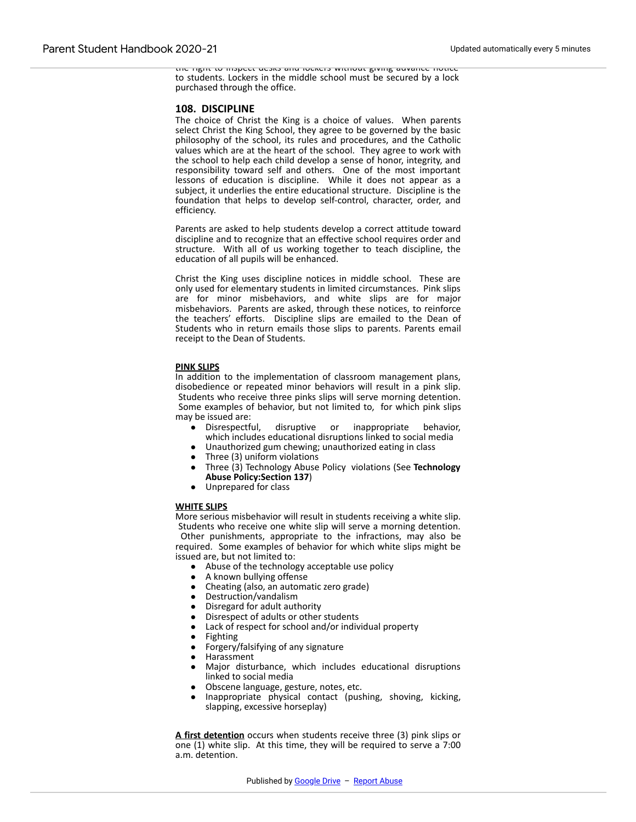the right to inspect desks and lockers without giving advance notice to students. Lockers in the middle school must be secured by a lock purchased through the office.

#### **108. DISCIPLINE**

The choice of Christ the King is a choice of values. When parents select Christ the King School, they agree to be governed by the basic philosophy of the school, its rules and procedures, and the Catholic values which are at the heart of the school. They agree to work with the school to help each child develop a sense of honor, integrity, and responsibility toward self and others. One of the most important lessons of education is discipline. While it does not appear as a subject, it underlies the entire educational structure. Discipline is the foundation that helps to develop self-control, character, order, and efficiency.

Parents are asked to help students develop a correct attitude toward discipline and to recognize that an effective school requires order and structure. With all of us working together to teach discipline, the education of all pupils will be enhanced.

Christ the King uses discipline notices in middle school. These are only used for elementary students in limited circumstances. Pink slips are for minor misbehaviors, and white slips are for major misbehaviors. Parents are asked, through these notices, to reinforce the teachers' efforts. Discipline slips are emailed to the Dean of Students who in return emails those slips to parents. Parents email receipt to the Dean of Students.

#### **PINK SLIPS**

In addition to the implementation of classroom management plans, disobedience or repeated minor behaviors will result in a pink slip. Students who receive three pinks slips will serve morning detention. Some examples of behavior, but not limited to, for which pink slips may be issued are:

- Disrespectful, disruptive or inappropriate behavior, which includes educational disruptions linked to social media
- Unauthorized gum chewing; unauthorized eating in class
- Three (3) uniform violations
- Three (3) Technology Abuse Policy violations (See **Technology Abuse Policy:Section 137**)
- Unprepared for class

#### **WHITE SLIPS**

More serious misbehavior will result in students receiving a white slip. Students who receive one white slip will serve a morning detention. Other punishments, appropriate to the infractions, may also be required. Some examples of behavior for which white slips might be issued are, but not limited to:

- Abuse of the technology acceptable use policy
- A known bullying offense
- Cheating (also, an automatic zero grade)
- Destruction/vandalism
- Disregard for adult authority
- Disrespect of adults or other students
- Lack of respect for school and/or individual property
- **Fighting**
- Forgery/falsifying of any signature
- Harassment
- Major disturbance, which includes educational disruptions linked to social media
- Obscene language, gesture, notes, etc.
- Inappropriate physical contact (pushing, shoving, kicking, slapping, excessive horseplay)

**A first detention** occurs when students receive three (3) pink slips or one (1) white slip. At this time, they will be required to serve a 7:00 a.m. detention.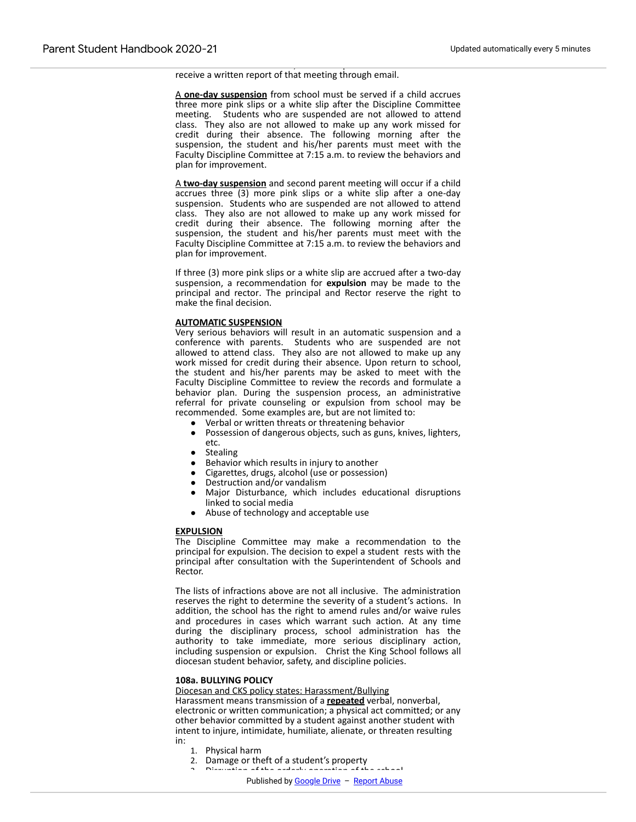receive a written report of that meeting through email.

A **one-day suspension** from school must be served if a child accrues three more pink slips or a white slip after the Discipline Committee meeting. Students who are suspended are not allowed to attend class. They also are not allowed to make up any work missed for credit during their absence. The following morning after the suspension, the student and his/her parents must meet with the Faculty Discipline Committee at 7:15 a.m. to review the behaviors and plan for improvement.

advisor. Parents are welcome, but not required to attend. Parents will

A **two-day suspension** and second parent meeting will occur if a child accrues three (3) more pink slips or a white slip after a one-day suspension. Students who are suspended are not allowed to attend class. They also are not allowed to make up any work missed for credit during their absence. The following morning after the suspension, the student and his/her parents must meet with the Faculty Discipline Committee at 7:15 a.m. to review the behaviors and plan for improvement.

If three (3) more pink slips or a white slip are accrued after a two-day suspension, a recommendation for **expulsion** may be made to the principal and rector. The principal and Rector reserve the right to make the final decision.

#### **AUTOMATIC SUSPENSION**

Very serious behaviors will result in an automatic suspension and a conference with parents. Students who are suspended are not allowed to attend class. They also are not allowed to make up any work missed for credit during their absence. Upon return to school, the student and his/her parents may be asked to meet with the Faculty Discipline Committee to review the records and formulate a behavior plan. During the suspension process, an administrative referral for private counseling or expulsion from school may be recommended. Some examples are, but are not limited to:

- Verbal or written threats or threatening behavior
- Possession of dangerous objects, such as guns, knives, lighters, etc.
- **Stealing**
- Behavior which results in injury to another
- Cigarettes, drugs, alcohol (use or possession)
- Destruction and/or vandalism
- Major Disturbance, which includes educational disruptions linked to social media
- Abuse of technology and acceptable use

#### **EXPULSION**

The Discipline Committee may make a recommendation to the principal for expulsion. The decision to expel a student rests with the principal after consultation with the Superintendent of Schools and Rector.

The lists of infractions above are not all inclusive. The administration reserves the right to determine the severity of a student's actions. In addition, the school has the right to amend rules and/or waive rules and procedures in cases which warrant such action. At any time during the disciplinary process, school administration has the authority to take immediate, more serious disciplinary action, including suspension or expulsion. Christ the King School follows all diocesan student behavior, safety, and discipline policies.

#### **108a. BULLYING POLICY**

Diocesan and CKS policy states: Harassment/Bullying

Harassment means transmission of a **repeated** verbal, nonverbal, electronic or written communication; a physical act committed; or any other behavior committed by a student against another student with intent to injure, intimidate, humiliate, alienate, or threaten resulting in:

- 1. Physical harm
- 2. Damage or theft of a student's property
	- 3. Disruption of the orderly operation of the school.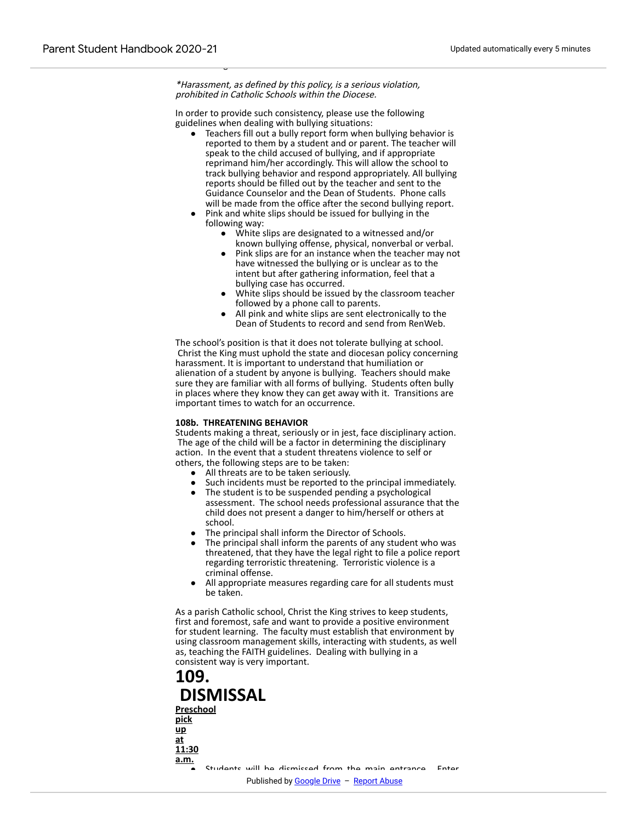\*Harassment, as defined by this policy, is a serious violation, prohibited in Catholic Schools within the Diocese.

 $\overline{\phantom{0}}$ 

In order to provide such consistency, please use the following guidelines when dealing with bullying situations:

- Teachers fill out a bully report form when bullying behavior is reported to them by a student and or parent. The teacher will speak to the child accused of bullying, and if appropriate reprimand him/her accordingly. This will allow the school to track bullying behavior and respond appropriately. All bullying reports should be filled out by the teacher and sent to the Guidance Counselor and the Dean of Students. Phone calls will be made from the office after the second bullying report.
- Pink and white slips should be issued for bullying in the following way:
	- White slips are designated to a witnessed and/or known bullying offense, physical, nonverbal or verbal.
	- Pink slips are for an instance when the teacher may not have witnessed the bullying or is unclear as to the intent but after gathering information, feel that a bullying case has occurred.
	- White slips should be issued by the classroom teacher followed by a phone call to parents.
	- All pink and white slips are sent electronically to the Dean of Students to record and send from RenWeb.

The school's position is that it does not tolerate bullying at school. Christ the King must uphold the state and diocesan policy concerning harassment. It is important to understand that humiliation or alienation of a student by anyone is bullying. Teachers should make sure they are familiar with all forms of bullying. Students often bully in places where they know they can get away with it. Transitions are important times to watch for an occurrence.

#### **108b. THREATENING BEHAVIOR**

Students making a threat, seriously or in jest, face disciplinary action. The age of the child will be a factor in determining the disciplinary action. In the event that a student threatens violence to self or others, the following steps are to be taken:

- All threats are to be taken seriously.<br>• Such incidents must be reported to
- Such incidents must be reported to the principal immediately.
- The student is to be suspended pending a psychological assessment. The school needs professional assurance that the child does not present a danger to him/herself or others at school.
- The principal shall inform the Director of Schools.
- The principal shall inform the parents of any student who was threatened, that they have the legal right to file a police report regarding terroristic threatening. Terroristic violence is a criminal offense.
- All appropriate measures regarding care for all students must be taken.

As a parish Catholic school, Christ the King strives to keep students, first and foremost, safe and want to provide a positive environment for student learning. The faculty must establish that environment by using classroom management skills, interacting with students, as well as, teaching the FAITH guidelines. Dealing with bullying in a consistent way is very important.

# **109. DISMISSAL Preschool pick up at 11:30 a.m.** Students will be dismissed from the main entrance. Enter Published by Google Drive – Repor[t Abuse](https://docs.google.com/u/0/abuse?id=AKkXjow2Ww2zc6yLF4num4RNSen3xDcdpIm9X-83fXZBH4ty6HF4pUakc3MwbFl6RxynIYkRnPqFKKgHYXP6-r8:0)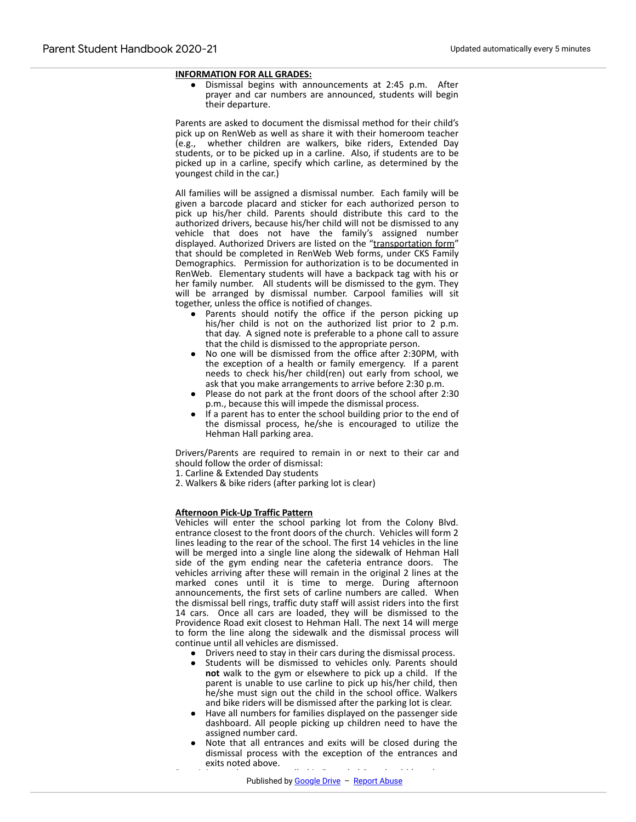# **INFORMATION FOR ALL GRADES:**

● Dismissal begins with announcements at 2:45 p.m. After prayer and car numbers are announced, students will begin their departure.

Parents are asked to document the dismissal method for their child's pick up on RenWeb as well as share it with their homeroom teacher (e.g., whether children are walkers, bike riders, Extended Day students, or to be picked up in a carline. Also, if students are to be picked up in a carline, specify which carline, as determined by the youngest child in the car.)

All families will be assigned a dismissal number. Each family will be given a barcode placard and sticker for each authorized person to pick up his/her child. Parents should distribute this card to the authorized drivers, because his/her child will not be dismissed to any vehicle that does not have the family's assigned number displayed. Authorized Drivers are listed on the "transportation form" that should be completed in RenWeb Web forms, under CKS Family Demographics. Permission for authorization is to be documented in RenWeb. Elementary students will have a backpack tag with his or her family number. All students will be dismissed to the gym. They will be arranged by dismissal number. Carpool families will sit together, unless the office is notified of changes.

- Parents should notify the office if the person picking up his/her child is not on the authorized list prior to 2 p.m. that day. A signed note is preferable to a phone call to assure that the child is dismissed to the appropriate person.
- No one will be dismissed from the office after 2:30PM, with the exception of a health or family emergency. If a parent needs to check his/her child(ren) out early from school, we ask that you make arrangements to arrive before 2:30 p.m.
- Please do not park at the front doors of the school after 2:30 p.m., because this will impede the dismissal process.
- If a parent has to enter the school building prior to the end of the dismissal process, he/she is encouraged to utilize the Hehman Hall parking area.

Drivers/Parents are required to remain in or next to their car and should follow the order of dismissal:

1. Carline & Extended Day students

2. Walkers & bike riders (after parking lot is clear)

#### **Afternoon Pick-Up Traffic Pattern**

Vehicles will enter the school parking lot from the Colony Blvd. entrance closest to the front doors of the church. Vehicles will form 2 lines leading to the rear of the school. The first 14 vehicles in the line will be merged into a single line along the sidewalk of Hehman Hall side of the gym ending near the cafeteria entrance doors. The vehicles arriving after these will remain in the original 2 lines at the marked cones until it is time to merge. During afternoon announcements, the first sets of carline numbers are called. When the dismissal bell rings, traffic duty staff will assist riders into the first 14 cars. Once all cars are loaded, they will be dismissed to the Providence Road exit closest to Hehman Hall. The next 14 will merge to form the line along the sidewalk and the dismissal process will continue until all vehicles are dismissed.

- Drivers need to stay in their cars during the dismissal process.
- Students will be dismissed to vehicles only. Parents should **not** walk to the gym or elsewhere to pick up a child. If the parent is unable to use carline to pick up his/her child, then he/she must sign out the child in the school office. Walkers and bike riders will be dismissed after the parking lot is clear.
- Have all numbers for families displayed on the passenger side dashboard. All people picking up children need to have the assigned number card.
- Note that all entrances and exits will be closed during the dismissal process with the exception of the entrances and exits noted above.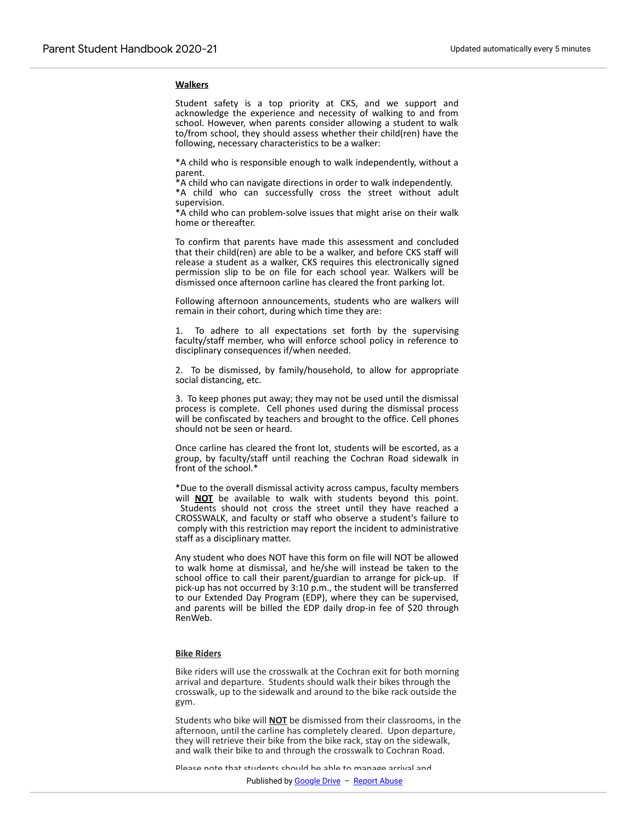#### **Walkers**

Renweb.

Student safety is a top priority at CKS, and we support and acknowledge the experience and necessity of walking to and from school. However, when parents consider allowing a student to walk to/from school, they should assess whether their child(ren) have the following, necessary characteristics to be a walker:

\*A child who is responsible enough to walk independently, without a parent.

\*A child who can navigate directions in order to walk independently.

\*A child who can successfully cross the street without adult supervision.

\*A child who can problem-solve issues that might arise on their walk home or thereafter.

To confirm that parents have made this assessment and concluded that their child(ren) are able to be a walker, and before CKS staff will release a student as a walker, CKS requires this electronically signed permission slip to be on file for each school year. Walkers will be dismissed once afternoon carline has cleared the front parking lot.

Following afternoon announcements, students who are walkers will remain in their cohort, during which time they are:

1. To adhere to all expectations set forth by the supervising faculty/staff member, who will enforce school policy in reference to disciplinary consequences if/when needed.

2. To be dismissed, by family/household, to allow for appropriate social distancing, etc.

3. To keep phones put away; they may not be used until the dismissal process is complete. Cell phones used during the dismissal process will be confiscated by teachers and brought to the office. Cell phones should not be seen or heard.

Once carline has cleared the front lot, students will be escorted, as a group, by faculty/staff until reaching the Cochran Road sidewalk in front of the school.\*

\*Due to the overall dismissal activity across campus, faculty members will **NOT** be available to walk with students beyond this point. Students should not cross the street until they have reached a CROSSWALK, and faculty or staff who observe a student's failure to comply with this restriction may report the incident to administrative staff as a disciplinary matter.

Any student who does NOT have this form on file will NOT be allowed to walk home at dismissal, and he/she will instead be taken to the school office to call their parent/guardian to arrange for pick-up. If pick-up has not occurred by 3:10 p.m., the student will be transferred to our Extended Day Program (EDP), where they can be supervised, and parents will be billed the EDP daily drop-in fee of \$20 through RenWeb.

#### **Bike Riders**

Bike riders will use the crosswalk at the Cochran exit for both morning arrival and departure. Students should walk their bikes through the crosswalk, up to the sidewalk and around to the bike rack outside the gym.

Students who bike will **NOT** be dismissed from their classrooms, in the afternoon, until the carline has completely cleared. Upon departure, they will retrieve their bike from the bike rack, stay on the sidewalk, and walk their bike to and through the crosswalk to Cochran Road.

Please note that students should be able to manage arrival and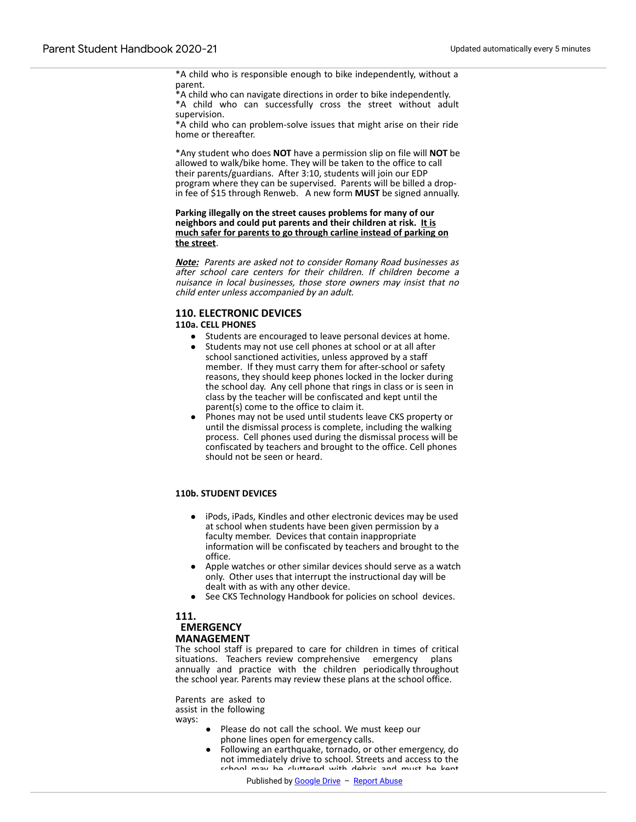\*A child who is responsible enough to bike independently, without a parent.

\*A child who can navigate directions in order to bike independently. \*A child who can successfully cross the street without adult supervision.

\*A child who can problem-solve issues that might arise on their ride home or thereafter.

\*Any student who does **NOT** have a permission slip on file will **NOT** be allowed to walk/bike home. They will be taken to the office to call their parents/guardians. After 3:10, students will join our EDP program where they can be supervised. Parents will be billed a dropin fee of \$15 through Renweb. A new form **MUST** be signed annually.

**Parking illegally on the street causes problems for many of our neighbors and could put parents and their children at risk. It is much safer for parents to go through carline instead of parking on the street**.

**Note:** Parents are asked not to consider Romany Road businesses as after school care centers for their children. If children become a nuisance in local businesses, those store owners may insist that no child enter unless accompanied by an adult.

# **110. ELECTRONIC DEVICES**

#### **110a. CELL PHONES**

- Students are encouraged to leave personal devices at home.
- Students may not use cell phones at school or at all after school sanctioned activities, unless approved by a staff member. If they must carry them for after-school or safety reasons, they should keep phones locked in the locker during the school day. Any cell phone that rings in class or is seen in class by the teacher will be confiscated and kept until the parent(s) come to the office to claim it.
- Phones may not be used until students leave CKS property or until the dismissal process is complete, including the walking process. Cell phones used during the dismissal process will be confiscated by teachers and brought to the office. Cell phones should not be seen or heard.

#### **110b. STUDENT DEVICES**

- iPods, iPads, Kindles and other electronic devices may be used at school when students have been given permission by a faculty member. Devices that contain inappropriate information will be confiscated by teachers and brought to the office.
- Apple watches or other similar devices should serve as a watch only. Other uses that interrupt the instructional day will be dealt with as with any other device.
- See CKS Technology Handbook for policies on school devices.

#### **111.**

# **EMERGENCY MANAGEMENT**

The school staff is prepared to care for children in times of critical situations. Teachers review comprehensive emergency plans annually and practice with the children periodically throughout the school year. Parents may review these plans at the school office.

Parents are asked to assist in the following ways:

- Please do not call the school. We must keep our phone lines open for emergency calls.
- Following an earthquake, tornado, or other emergency, do not immediately drive to school. Streets and access to the school may be cluttered with debris and must be kept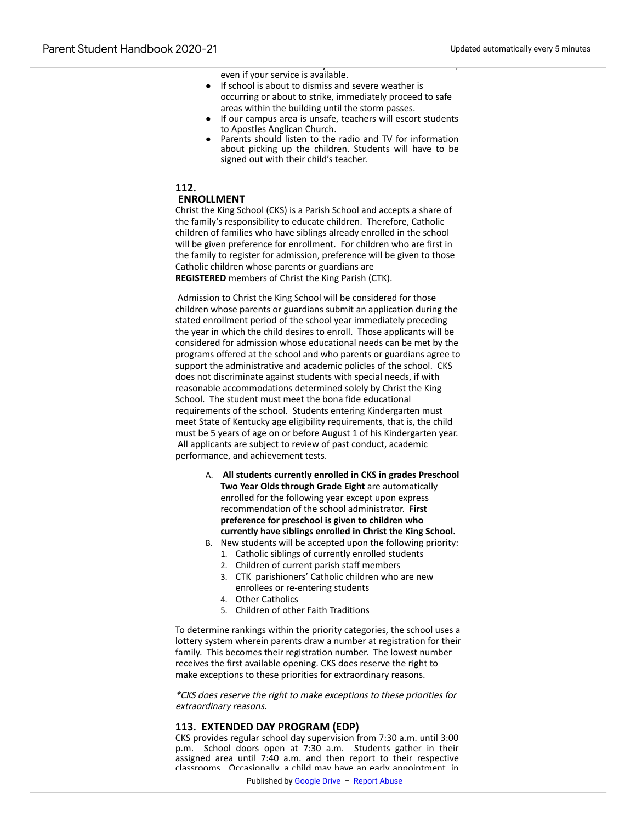even if your service is available.

● If school is about to dismiss and severe weather is occurring or about to strike, immediately proceed to safe areas within the building until the storm passes.

that Internet service may not be available at the school,

- If our campus area is unsafe, teachers will escort students to Apostles Anglican Church.
- Parents should listen to the radio and TV for information about picking up the children. Students will have to be signed out with their child's teacher.

#### **112.**

#### **ENROLLMENT**

Christ the King School (CKS) is a Parish School and accepts a share of the family's responsibility to educate children. Therefore, Catholic children of families who have siblings already enrolled in the school will be given preference for enrollment. For children who are first in the family to register for admission, preference will be given to those Catholic children whose parents or guardians are **REGISTERED** members of Christ the King Parish (CTK).

 Admission to Christ the King School will be considered for those children whose parents or guardians submit an application during the stated enrollment period of the school year immediately preceding the year in which the child desires to enroll. Those applicants will be considered for admission whose educational needs can be met by the programs offered at the school and who parents or guardians agree to support the administrative and academic policles of the school. CKS does not discriminate against students with special needs, if with reasonable accommodations determined solely by Christ the King School. The student must meet the bona fide educational requirements of the school. Students entering Kindergarten must meet State of Kentucky age eligibility requirements, that is, the child must be 5 years of age on or before August 1 of his Kindergarten year. All applicants are subject to review of past conduct, academic performance, and achievement tests.

- A. **All students currently enrolled in CKS in grades Preschool Two Year Olds through Grade Eight** are automatically enrolled for the following year except upon express recommendation of the school administrator. **First preference for preschool is given to children who currently have siblings enrolled in Christ the King School.**
- B. New students will be accepted upon the following priority:
	- 1. Catholic siblings of currently enrolled students
	- 2. Children of current parish staff members
	- 3. CTK parishioners' Catholic children who are new enrollees or re-entering students
	- 4. Other Catholics
	- 5. Children of other Faith Traditions

To determine rankings within the priority categories, the school uses a lottery system wherein parents draw a number at registration for their family. This becomes their registration number. The lowest number receives the first available opening. CKS does reserve the right to make exceptions to these priorities for extraordinary reasons.

\*CKS does reserve the right to make exceptions to these priorities for extraordinary reasons.

#### **113. EXTENDED DAY PROGRAM (EDP)**

CKS provides regular school day supervision from 7:30 a.m. until 3:00 p.m. School doors open at 7:30 a.m. Students gather in their assigned area until 7:40 a.m. and then report to their respective classrooms. Occasionally, a child may have an early appointment, in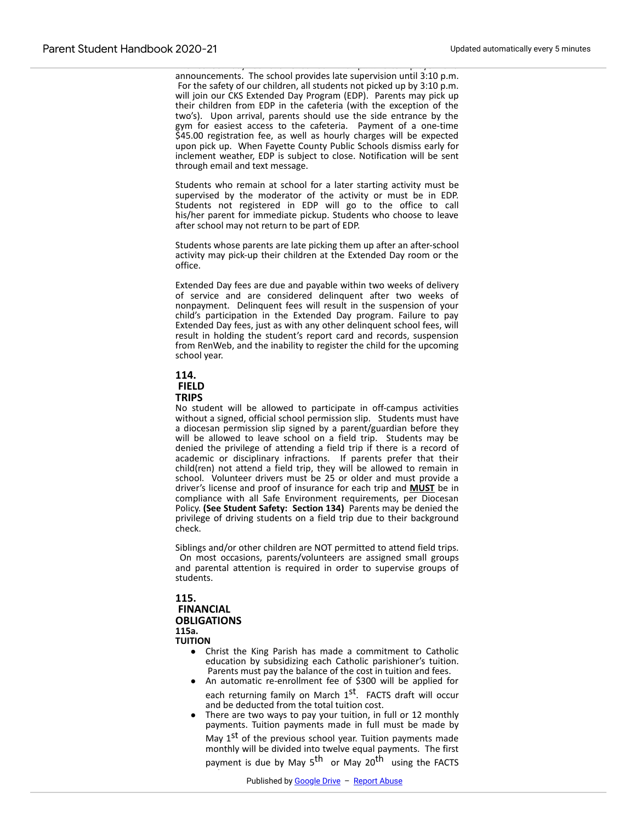The school day at CKS ends at 2:48 p.m. after prayer and announcements. The school provides late supervision until 3:10 p.m. For the safety of our children, all students not picked up by 3:10 p.m. will join our CKS Extended Day Program (EDP). Parents may pick up their children from EDP in the cafeteria (with the exception of the two's). Upon arrival, parents should use the side entrance by the gym for easiest access to the cafeteria. Payment of a one-time \$45.00 registration fee, as well as hourly charges will be expected upon pick up. When Fayette County Public Schools dismiss early for inclement weather, EDP is subject to close. Notification will be sent through email and text message.

Students who remain at school for a later starting activity must be supervised by the moderator of the activity or must be in EDP. Students not registered in EDP will go to the office to call his/her parent for immediate pickup. Students who choose to leave after school may not return to be part of EDP.

Students whose parents are late picking them up after an after-school activity may pick-up their children at the Extended Day room or the office.

Extended Day fees are due and payable within two weeks of delivery of service and are considered delinquent after two weeks of nonpayment. Delinquent fees will result in the suspension of your child's participation in the Extended Day program. Failure to pay Extended Day fees, just as with any other delinquent school fees, will result in holding the student's report card and records, suspension from RenWeb, and the inability to register the child for the upcoming school year.



**TRIPS**

No student will be allowed to participate in off-campus activities without a signed, official school permission slip. Students must have a diocesan permission slip signed by a parent/guardian before they will be allowed to leave school on a field trip. Students may be denied the privilege of attending a field trip if there is a record of academic or disciplinary infractions. If parents prefer that their child(ren) not attend a field trip, they will be allowed to remain in school. Volunteer drivers must be 25 or older and must provide a driver's license and proof of insurance for each trip and **MUST** be in compliance with all Safe Environment requirements, per Diocesan Policy. **(See Student Safety: Section 134)** Parents may be denied the privilege of driving students on a field trip due to their background check.

Siblings and/or other children are NOT permitted to attend field trips. On most occasions, parents/volunteers are assigned small groups and parental attention is required in order to supervise groups of students.

**115. FINANCIAL OBLIGATIONS 115a. TUITION**

- Christ the King Parish has made a commitment to Catholic education by subsidizing each Catholic parishioner's tuition. Parents must pay the balance of the cost in tuition and fees.
- An automatic re-enrollment fee of \$300 will be applied for each returning family on March 1<sup>st</sup>. FACTS draft will occur and be deducted from the total tuition cost.
- There are two ways to pay your tuition, in full or 12 monthly payments. Tuition payments made in full must be made by May 1<sup>st</sup> of the previous school year. Tuition payments made monthly will be divided into twelve equal payments. The first payment is due by May 5<sup>th</sup> or May 20<sup>th</sup> using the FACTS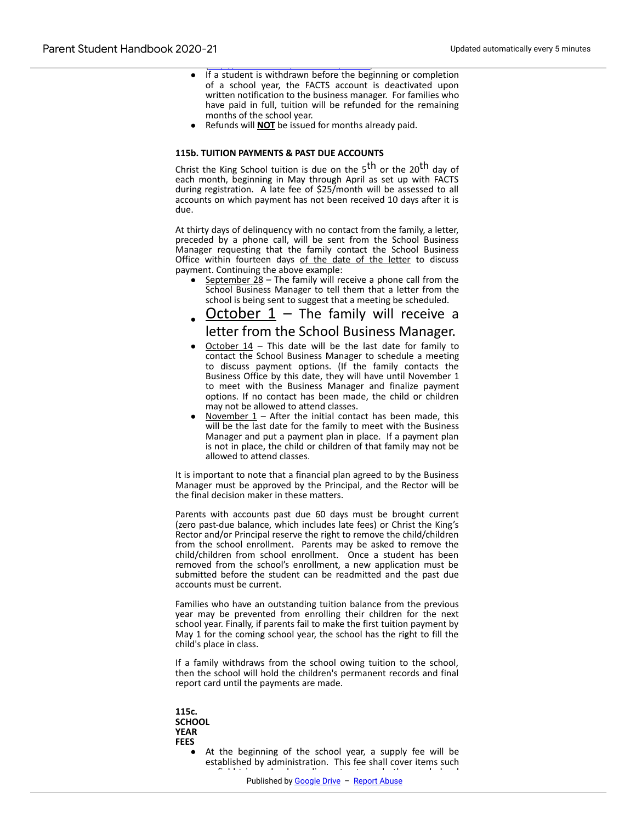- If a student is withdrawn before the beginning or completion of a school year, the FACTS account is deactivated upon written notification to the business manager. For families who have paid in full, tuition will be refunded for the remaining months of the school year.
- Refunds will **NOT** be issued for months already paid.

([http://ctkschool.net/admissions/tuition](https://www.google.com/url?q=http://ctkschool.net/admissions/tuition&sa=D&source=editors&ust=1612898998491000&usg=AOvVaw2BNpNKFmcpHrc0uZtK-eOM)).

#### **115b. TUITION PAYMENTS & PAST DUE ACCOUNTS**

Christ the King School tuition is due on the 5<sup>th</sup> or the 20<sup>th</sup> day of each month, beginning in May through April as set up with FACTS during registration. A late fee of \$25/month will be assessed to all accounts on which payment has not been received 10 days after it is due.

At thirty days of delinquency with no contact from the family, a letter, preceded by a phone call, will be sent from the School Business Manager requesting that the family contact the School Business Office within fourteen days of the date of the letter to discuss payment. Continuing the above example:

September  $28$  – The family will receive a phone call from the School Business Manager to tell them that a letter from the school is being sent to suggest that a meeting be scheduled.

# October  $1 -$  The family will receive a letter from the School Business Manager.

- October  $14$  This date will be the last date for family to contact the School Business Manager to schedule a meeting to discuss payment options. (If the family contacts the Business Office by this date, they will have until November 1 to meet with the Business Manager and finalize payment options. If no contact has been made, the child or children may not be allowed to attend classes.
- November  $1$  After the initial contact has been made, this will be the last date for the family to meet with the Business Manager and put a payment plan in place. If a payment plan is not in place, the child or children of that family may not be allowed to attend classes.

It is important to note that a financial plan agreed to by the Business Manager must be approved by the Principal, and the Rector will be the final decision maker in these matters.

Parents with accounts past due 60 days must be brought current (zero past-due balance, which includes late fees) or Christ the King's Rector and/or Principal reserve the right to remove the child/children from the school enrollment. Parents may be asked to remove the child/children from school enrollment. Once a student has been removed from the school's enrollment, a new application must be submitted before the student can be readmitted and the past due accounts must be current.

Families who have an outstanding tuition balance from the previous year may be prevented from enrolling their children for the next school year. Finally, if parents fail to make the first tuition payment by May 1 for the coming school year, the school has the right to fill the child's place in class.

If a family withdraws from the school owing tuition to the school, then the school will hold the children's permanent records and final report card until the payments are made.

- **115c. SCHOOL YEAR FEES**
	- At the beginning of the school year, a supply fee will be established by administration. This fee shall cover items such as field trips, school supplies, retreats, and other grade level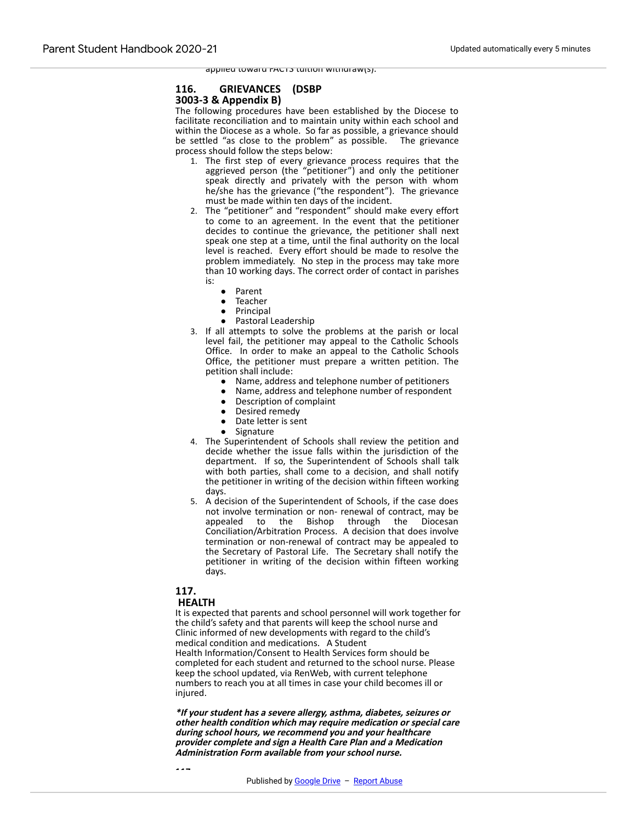applied toward FACTS tuition withdraw(s).

# **116. GRIEVANCES (DSBP**

# **3003-3 & Appendix B)**

The following procedures have been established by the Diocese to facilitate reconciliation and to maintain unity within each school and within the Diocese as a whole. So far as possible, a grievance should be settled "as close to the problem" as possible. The grievance process should follow the steps below:

- 1. The first step of every grievance process requires that the aggrieved person (the "petitioner") and only the petitioner speak directly and privately with the person with whom he/she has the grievance ("the respondent"). The grievance must be made within ten days of the incident.
- 2. The "petitioner" and "respondent" should make every effort to come to an agreement. In the event that the petitioner decides to continue the grievance, the petitioner shall next speak one step at a time, until the final authority on the local level is reached. Every effort should be made to resolve the problem immediately. No step in the process may take more than 10 working days. The correct order of contact in parishes is:
	- Parent
	- **Teacher**
	- Principal
	- Pastoral Leadership
- 3. If all attempts to solve the problems at the parish or local level fail, the petitioner may appeal to the Catholic Schools Office. In order to make an appeal to the Catholic Schools Office, the petitioner must prepare a written petition. The petition shall include:
	- Name, address and telephone number of petitioners
	- Name, address and telephone number of respondent
	- Description of complaint
	- Desired remedy
	- Date letter is sent
	- Signature
- 4. The Superintendent of Schools shall review the petition and decide whether the issue falls within the jurisdiction of the department. If so, the Superintendent of Schools shall talk with both parties, shall come to a decision, and shall notify the petitioner in writing of the decision within fifteen working days.
- 5. A decision of the Superintendent of Schools, if the case does not involve termination or non- renewal of contract, may be appealed to the Bishop through the Diocesan Conciliation/Arbitration Process. A decision that does involve termination or non-renewal of contract may be appealed to the Secretary of Pastoral Life. The Secretary shall notify the petitioner in writing of the decision within fifteen working days.

# **117.**

**117a.**

#### **HEALTH**

It is expected that parents and school personnel will work together for the child's safety and that parents will keep the school nurse and Clinic informed of new developments with regard to the child's medical condition and medications. A Student Health Information/Consent to Health Services form should be completed for each student and returned to the school nurse. Please keep the school updated, via RenWeb, with current telephone numbers to reach you at all times in case your child becomes ill or injured.

**\*If your student has a severe allergy, asthma, diabetes, seizures or other health condition which may require medication or special care during school hours, we recommend you and your healthcare provider complete and sign a Health Care Plan and a Medication Administration Form available from your school nurse.**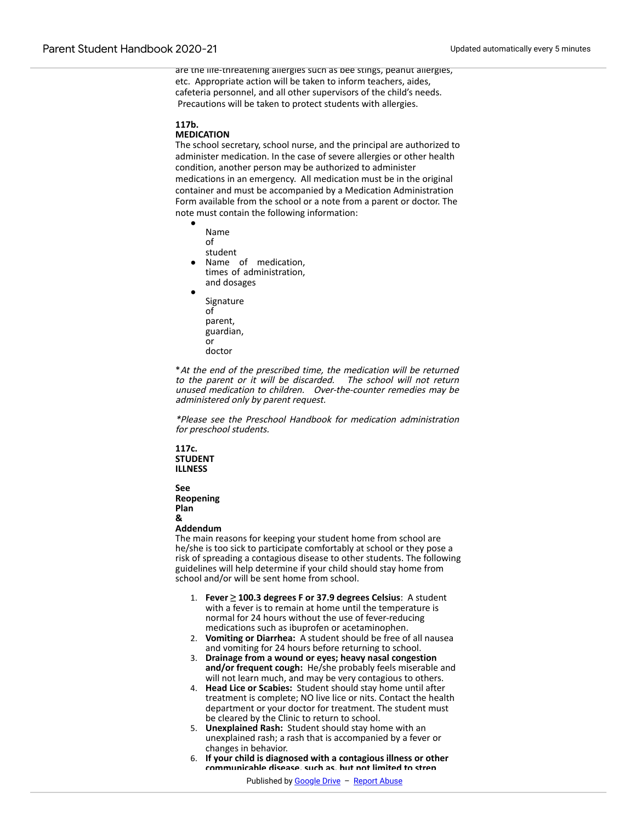are the life-threatening allergies such as bee stings, peanut allergies, etc. Appropriate action will be taken to inform teachers, aides, cafeteria personnel, and all other supervisors of the child's needs. Precautions will be taken to protect students with allergies.

#### **117b.**

#### **MEDICATION**

The school secretary, school nurse, and the principal are authorized to administer medication. In the case of severe allergies or other health condition, another person may be authorized to administer medications in an emergency. All medication must be in the original container and must be accompanied by a Medication Administration Form available from the school or a note from a parent or doctor. The note must contain the following information:

- Name of student Name of medication,
- times of administration, and dosages
- Signature of parent, guardian, or doctor

\*At the end of the prescribed time, the medication will be returned to the parent or it will be discarded. The school will not return unused medication to children. Over-the-counter remedies may be administered only by parent request.

\*Please see the Preschool Handbook for medication administration for preschool students.

**117c. STUDENT ILLNESS**

**See Reopening Plan &**

**Addendum**

The main reasons for keeping your student home from school are he/she is too sick to participate comfortably at school or they pose a risk of spreading a contagious disease to other students. The following guidelines will help determine if your child should stay home from school and/or will be sent home from school.

- 1. **Fever ≥ 100.3 degrees F or 37.9 degrees Celsius**: A student with a fever is to remain at home until the temperature is normal for 24 hours without the use of fever-reducing medications such as ibuprofen or acetaminophen.
- 2. **Vomiting or Diarrhea:** A student should be free of all nausea and vomiting for 24 hours before returning to school.
- 3. **Drainage from a wound or eyes; heavy nasal congestion and/or frequent cough:** He/she probably feels miserable and will not learn much, and may be very contagious to others.
- 4. **Head Lice or Scabies:** Student should stay home until after treatment is complete; NO live lice or nits. Contact the health department or your doctor for treatment. The student must be cleared by the Clinic to return to school.
- 5. **Unexplained Rash:** Student should stay home with an unexplained rash; a rash that is accompanied by a fever or changes in behavior.
- 6. **If your child is diagnosed with a contagious illness or other communicable disease, such as, but not limited to strep**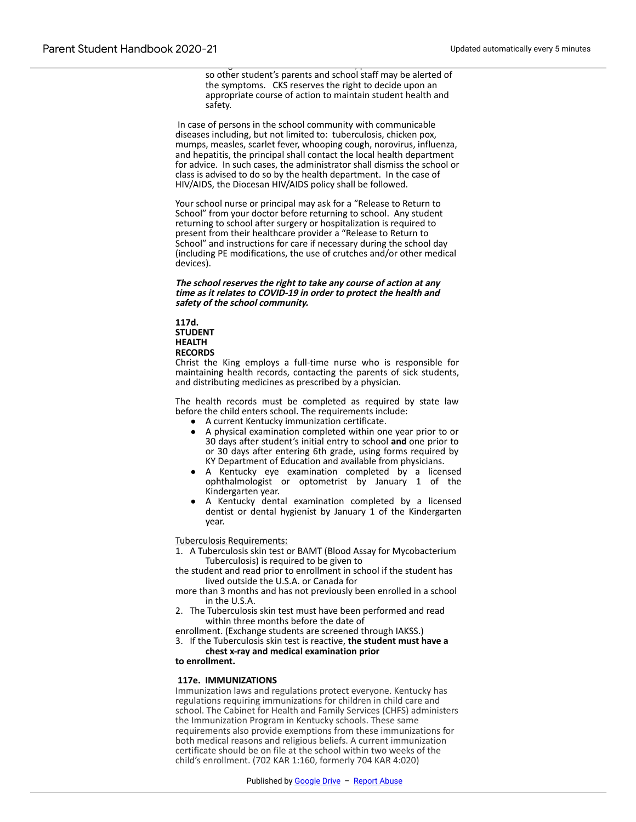so other student's parents and school staff may be alerted of the symptoms. CKS reserves the right to decide upon an appropriate course of action to maintain student health and safety.

contact disease, please, please, please, please, please, please, please, please, please, please, please, please, ple

 In case of persons in the school community with communicable diseases including, but not limited to: tuberculosis, chicken pox, mumps, measles, scarlet fever, whooping cough, norovirus, influenza, and hepatitis, the principal shall contact the local health department for advice. In such cases, the administrator shall dismiss the school or class is advised to do so by the health department. In the case of HIV/AIDS, the Diocesan HIV/AIDS policy shall be followed.

Your school nurse or principal may ask for a "Release to Return to School" from your doctor before returning to school. Any student returning to school after surgery or hospitalization is required to present from their healthcare provider a "Release to Return to School" and instructions for care if necessary during the school day (including PE modifications, the use of crutches and/or other medical devices).

**The school reserves the right to take any course of action at any time as it relates to COVID-19 in order to protect the health and safety of the school community.**

**117d. STUDENT HEALTH RECORDS**

Christ the King employs a full-time nurse who is responsible for maintaining health records, contacting the parents of sick students, and distributing medicines as prescribed by a physician.

The health records must be completed as required by state law before the child enters school. The requirements include:

- A current Kentucky immunization certificate.
	- A physical examination completed within one year prior to or 30 days after student's initial entry to school **and** one prior to or 30 days after entering 6th grade, using forms required by KY Department of Education and available from physicians.
- A Kentucky eye examination completed by a licensed ophthalmologist or optometrist by January 1 of the Kindergarten year.
- A Kentucky dental examination completed by a licensed dentist or dental hygienist by January 1 of the Kindergarten year.

#### Tuberculosis Requirements:

1. A Tuberculosis skin test or BAMT (Blood Assay for Mycobacterium Tuberculosis) is required to be given to

the student and read prior to enrollment in school if the student has lived outside the U.S.A. or Canada for

more than 3 months and has not previously been enrolled in a school in the U.S.A.

2. The Tuberculosis skin test must have been performed and read within three months before the date of

enrollment. (Exchange students are screened through IAKSS.)

3. If the Tuberculosis skin test is reactive, **the student must have a chest x-ray and medical examination prior**

# **to enrollment.**

#### **117e. IMMUNIZATIONS**

Immunization laws and regulations protect everyone. Kentucky has regulations requiring immunizations for children in child care and school. The Cabinet for Health and Family Services (CHFS) administers the Immunization Program in Kentucky schools. These same requirements also provide exemptions from these immunizations for both medical reasons and religious beliefs. A current immunization certificate should be on file at the school within two weeks of the child's enrollment. (702 KAR 1:160, formerly 704 KAR 4:020)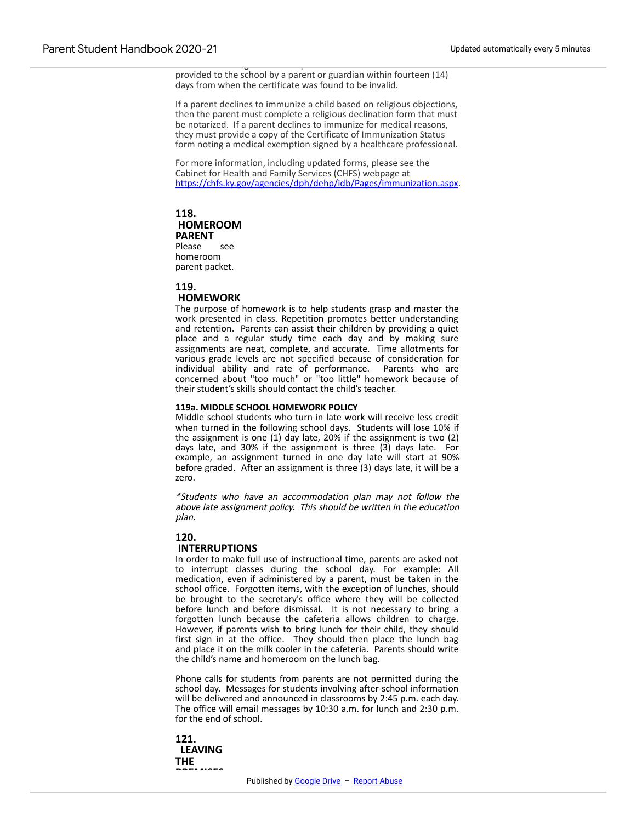administrative regulation. An updated and current certificate shall be provided to the school by a parent or guardian within fourteen (14) days from when the certificate was found to be invalid.

If a parent declines to immunize a child based on religious objections, then the parent must complete a religious declination form that must be notarized. If a parent declines to immunize for medical reasons, they must provide a copy of the Certificate of Immunization Status form noting a medical exemption signed by a healthcare professional.

For more information, including updated forms, please see the Cabinet for Health and Family Services (CHFS) webpage at [https://chfs.ky.gov/agencies/dph/dehp/idb/Pages/immunization.aspx.](https://www.google.com/url?q=https://chfs.ky.gov/agencies/dph/dehp/idb/Pages/immunization.aspx&sa=D&source=editors&ust=1612898998500000&usg=AOvVaw1TuPwLqGxcR0kc1bNCaklU)

#### **118. HOMEROOM PARENT** Please see homeroom parent packet.

#### **119.**

# **HOMEWORK**

The purpose of homework is to help students grasp and master the work presented in class. Repetition promotes better understanding and retention. Parents can assist their children by providing a quiet place and a regular study time each day and by making sure assignments are neat, complete, and accurate. Time allotments for various grade levels are not specified because of consideration for individual ability and rate of performance. Parents who are concerned about "too much" or "too little" homework because of their student's skills should contact the child's teacher.

#### **119a. MIDDLE SCHOOL HOMEWORK POLICY**

Middle school students who turn in late work will receive less credit when turned in the following school days. Students will lose 10% if the assignment is one (1) day late, 20% if the assignment is two (2) days late, and 30% if the assignment is three (3) days late. For example, an assignment turned in one day late will start at 90% before graded. After an assignment is three (3) days late, it will be a zero.

\*Students who have an accommodation plan may not follow the above late assignment policy. This should be written in the education plan.

#### **120.**

#### **INTERRUPTIONS**

In order to make full use of instructional time, parents are asked not to interrupt classes during the school day. For example: All medication, even if administered by a parent, must be taken in the school office. Forgotten items, with the exception of lunches, should be brought to the secretary's office where they will be collected before lunch and before dismissal. It is not necessary to bring a forgotten lunch because the cafeteria allows children to charge. However, if parents wish to bring lunch for their child, they should first sign in at the office. They should then place the lunch bag and place it on the milk cooler in the cafeteria. Parents should write the child's name and homeroom on the lunch bag.

Phone calls for students from parents are not permitted during the school day. Messages for students involving after-school information will be delivered and announced in classrooms by 2:45 p.m. each day. The office will email messages by 10:30 a.m. for lunch and 2:30 p.m. for the end of school.

**121. LEAVING THE** .<br>Premises premises premises <u>pr</u>emises and a premises premises and a premises and a premises and a premises and a<br>Premises premises and a premises and a premises and a premises and a premises are of the premises and a pre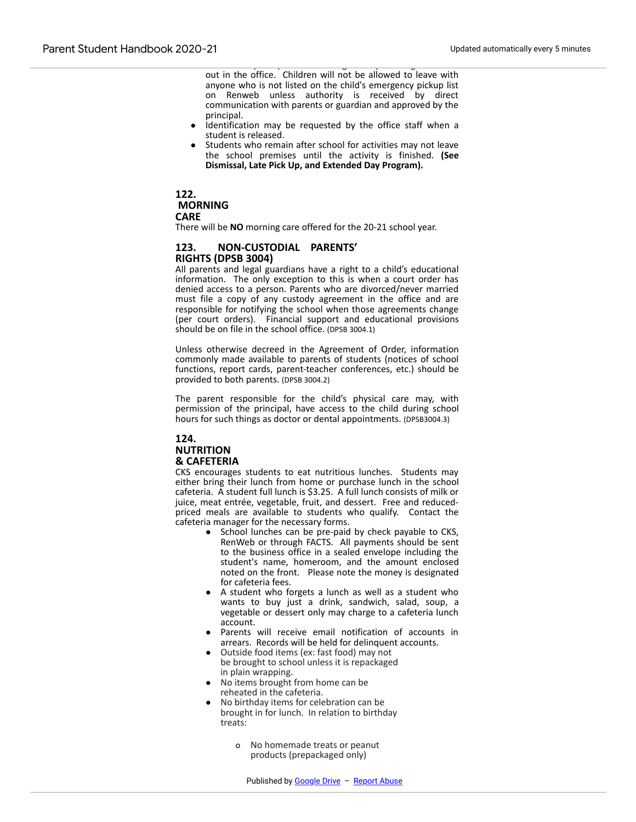out in the office. Children will not be allowed to leave with anyone who is not listed on the child's emergency pickup list on Renweb unless authority is received by direct communication with parents or guardian and approved by the principal.

● Adults who pick up children during the day must sign the child

- Identification may be requested by the office staff when a student is released.
- Students who remain after school for activities may not leave the school premises until the activity is finished. **(See Dismissal, Late Pick Up, and Extended Day Program).**

# **122. MORNING CARE**

There will be **NO** morning care offered for the 20-21 school year.

# **123. NON-CUSTODIAL PARENTS' RIGHTS (DPSB 3004)**

All parents and legal guardians have a right to a child's educational information. The only exception to this is when a court order has denied access to a person. Parents who are divorced/never married must file a copy of any custody agreement in the office and are responsible for notifying the school when those agreements change (per court orders). Financial support and educational provisions should be on file in the school office. (DPSB 3004.1)

Unless otherwise decreed in the Agreement of Order, information commonly made available to parents of students (notices of school functions, report cards, parent-teacher conferences, etc.) should be provided to both parents. (DPSB 3004.2)

The parent responsible for the child's physical care may, with permission of the principal, have access to the child during school hours for such things as doctor or dental appointments. (DPSB3004.3)

# **124. NUTRITION & CAFETERIA**

CKS encourages students to eat nutritious lunches. Students may either bring their lunch from home or purchase lunch in the school cafeteria. A student full lunch is \$3.25. A full lunch consists of milk or juice, meat entrée, vegetable, fruit, and dessert. Free and reducedpriced meals are available to students who qualify. Contact the cafeteria manager for the necessary forms.

- School lunches can be pre-paid by check payable to CKS, RenWeb or through FACTS. All payments should be sent to the business office in a sealed envelope including the student's name, homeroom, and the amount enclosed noted on the front. Please note the money is designated for cafeteria fees.
- A student who forgets a lunch as well as a student who wants to buy just a drink, sandwich, salad, soup, a vegetable or dessert only may charge to a cafeteria lunch account.
- Parents will receive email notification of accounts in arrears. Records will be held for delinquent accounts.
- Outside food items (ex: fast food) may not be brought to school unless it is repackaged in plain wrapping.
- No items brought from home can be reheated in the cafeteria.
- No birthday items for celebration can be brought in for lunch. In relation to birthday treats:
	- o No homemade treats or peanut products (prepackaged only)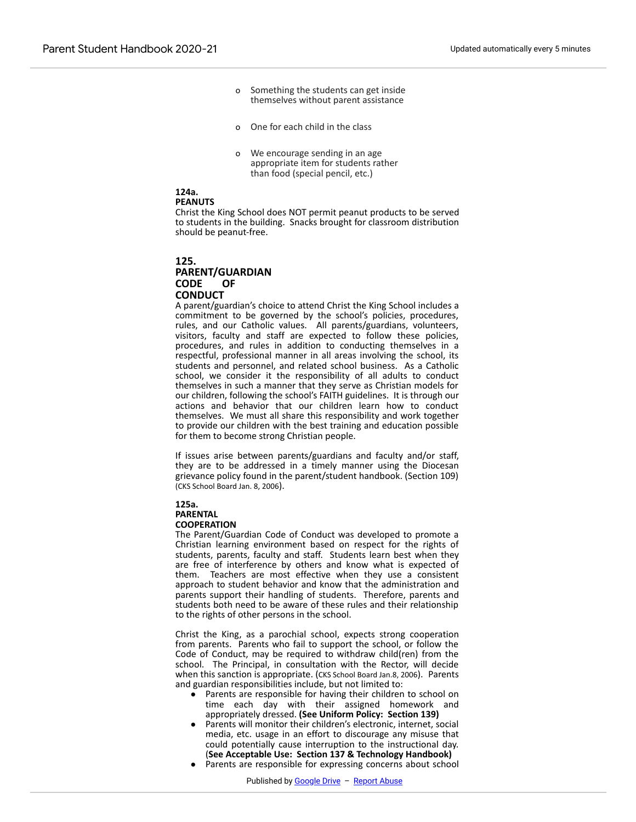- o Something the students can get inside themselves without parent assistance
- o One for each child in the class
- o We encourage sending in an age appropriate item for students rather than food (special pencil, etc.)

# **124a.**

#### **PEANUTS**

Christ the King School does NOT permit peanut products to be served to students in the building. Snacks brought for classroom distribution should be peanut-free.

#### **125.**

#### **PARENT/GUARDIAN CODE OF CONDUCT**

A parent/guardian's choice to attend Christ the King School includes a commitment to be governed by the school's policies, procedures, rules, and our Catholic values. All parents/guardians, volunteers, visitors, faculty and staff are expected to follow these policies, procedures, and rules in addition to conducting themselves in a respectful, professional manner in all areas involving the school, its students and personnel, and related school business. As a Catholic school, we consider it the responsibility of all adults to conduct themselves in such a manner that they serve as Christian models for our children, following the school's FAITH guidelines. It is through our actions and behavior that our children learn how to conduct themselves. We must all share this responsibility and work together to provide our children with the best training and education possible for them to become strong Christian people.

If issues arise between parents/guardians and faculty and/or staff, they are to be addressed in a timely manner using the Diocesan grievance policy found in the parent/student handbook. (Section 109) (CKS School Board Jan. 8, 2006).

#### **125a. PARENTAL COOPERATION**

The Parent/Guardian Code of Conduct was developed to promote a Christian learning environment based on respect for the rights of students, parents, faculty and staff. Students learn best when they are free of interference by others and know what is expected of them. Teachers are most effective when they use a consistent approach to student behavior and know that the administration and parents support their handling of students. Therefore, parents and students both need to be aware of these rules and their relationship to the rights of other persons in the school.

Christ the King, as a parochial school, expects strong cooperation from parents. Parents who fail to support the school, or follow the Code of Conduct, may be required to withdraw child(ren) from the school. The Principal, in consultation with the Rector, will decide when this sanction is appropriate. (CKS School Board Jan.8, 2006). Parents and guardian responsibilities include, but not limited to:

- Parents are responsible for having their children to school on time each day with their assigned homework and appropriately dressed. **(See Uniform Policy: Section 139)**
- Parents will monitor their children's electronic, internet, social media, etc. usage in an effort to discourage any misuse that could potentially cause interruption to the instructional day. (**See Acceptable Use: Section 137 & Technology Handbook)**
- Parents are responsible for expressing concerns about school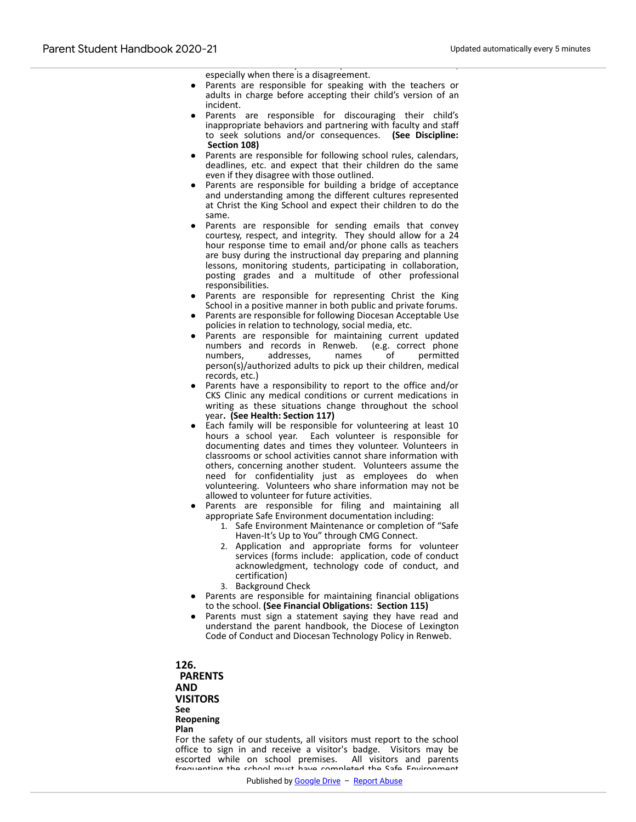kindness and courtesy to other parents in front of students, especially when there is a disagreement.

- Parents are responsible for speaking with the teachers or adults in charge before accepting their child's version of an incident.
- Parents are responsible for discouraging their child's inappropriate behaviors and partnering with faculty and staff to seek solutions and/or consequences. **(See Discipline: Section 108)**
- Parents are responsible for following school rules, calendars, deadlines, etc. and expect that their children do the same even if they disagree with those outlined.
- Parents are responsible for building a bridge of acceptance and understanding among the different cultures represented at Christ the King School and expect their children to do the same.
- Parents are responsible for sending emails that convey courtesy, respect, and integrity. They should allow for a 24 hour response time to email and/or phone calls as teachers are busy during the instructional day preparing and planning lessons, monitoring students, participating in collaboration, posting grades and a multitude of other professional responsibilities.
- Parents are responsible for representing Christ the King School in a positive manner in both public and private forums.
- Parents are responsible for following Diocesan Acceptable Use policies in relation to technology, social media, etc.
- Parents are responsible for maintaining current updated numbers and records in Renweb. (e.g. correct phone numbers, addresses, names of permitted numbers, addresses, names of person(s)/authorized adults to pick up their children, medical records, etc.)
- Parents have a responsibility to report to the office and/or CKS Clinic any medical conditions or current medications in writing as these situations change throughout the school year**. (See Health: Section 117)**
- Each family will be responsible for volunteering at least 10 hours a school year. Each volunteer is responsible for documenting dates and times they volunteer. Volunteers in classrooms or school activities cannot share information with others, concerning another student. Volunteers assume the need for confidentiality just as employees do when volunteering. Volunteers who share information may not be allowed to volunteer for future activities.
- Parents are responsible for filing and maintaining all appropriate Safe Environment documentation including:
	- 1. Safe Environment Maintenance or completion of "Safe Haven-It's Up to You" through CMG Connect.
	- 2. Application and appropriate forms for volunteer services (forms include: application, code of conduct acknowledgment, technology code of conduct, and certification)
	- 3. Background Check
- Parents are responsible for maintaining financial obligations to the school. **(See Financial Obligations: Section 115)**
- Parents must sign a statement saying they have read and understand the parent handbook, the Diocese of Lexington Code of Conduct and Diocesan Technology Policy in Renweb.

**126.**

**PARENTS AND VISITORS See Reopening Plan**

For the safety of our students, all visitors must report to the school office to sign in and receive a visitor's badge. Visitors may be escorted while on school premises. All visitors and parents frequenting the school must have completed the Safe Environment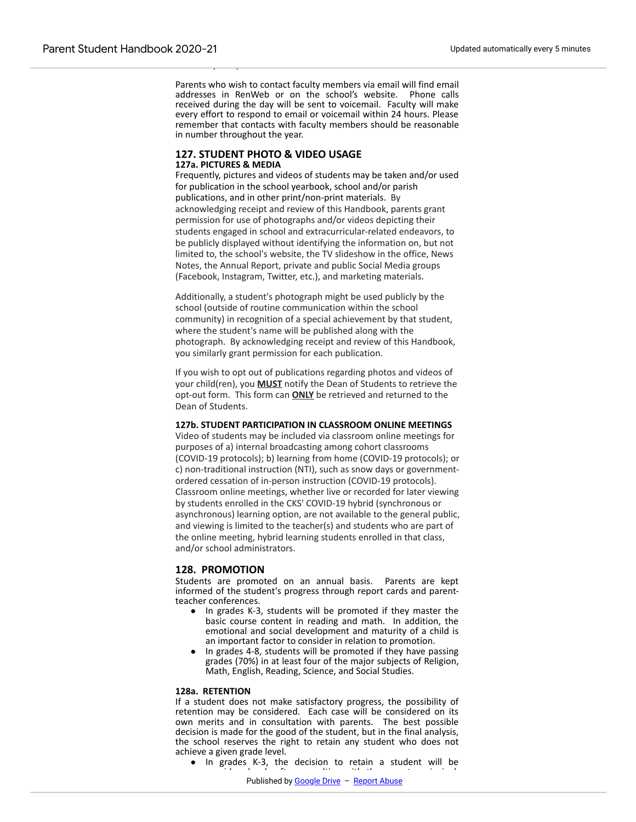Parents who wish to contact faculty members via email will find email addresses in RenWeb or on the school's website. Phone calls received during the day will be sent to voicemail. Faculty will make every effort to respond to email or voicemail within 24 hours. Please remember that contacts with faculty members should be reasonable in number throughout the year.

#### **127. STUDENT PHOTO & VIDEO USAGE 127a. PICTURES & MEDIA**

from the principal.

Frequently, pictures and videos of students may be taken and/or used for publication in the school yearbook, school and/or parish publications, and in other print/non-print materials. By acknowledging receipt and review of this Handbook, parents grant permission for use of photographs and/or videos depicting their students engaged in school and extracurricular-related endeavors, to be publicly displayed without identifying the information on, but not limited to, the school's website, the TV slideshow in the office, News Notes, the Annual Report, private and public Social Media groups (Facebook, Instagram, Twitter, etc.), and marketing materials.

Additionally, a student's photograph might be used publicly by the school (outside of routine communication within the school community) in recognition of a special achievement by that student, where the student's name will be published along with the photograph. By acknowledging receipt and review of this Handbook, you similarly grant permission for each publication.

If you wish to opt out of publications regarding photos and videos of your child(ren), you **MUST** notify the Dean of Students to retrieve the opt-out form. This form can **ONLY** be retrieved and returned to the Dean of Students.

#### **127b. STUDENT PARTICIPATION IN CLASSROOM ONLINE MEETINGS**

Video of students may be included via classroom online meetings for purposes of a) internal broadcasting among cohort classrooms (COVID-19 protocols); b) learning from home (COVID-19 protocols); or c) non-traditional instruction (NTI), such as snow days or governmentordered cessation of in-person instruction (COVID-19 protocols). Classroom online meetings, whether live or recorded for later viewing by students enrolled in the CKS' COVID-19 hybrid (synchronous or asynchronous) learning option, are not available to the general public, and viewing is limited to the teacher(s) and students who are part of the online meeting, hybrid learning students enrolled in that class, and/or school administrators.

#### **128. PROMOTION**

Students are promoted on an annual basis. Parents are kept informed of the student's progress through report cards and parentteacher conferences.

- In grades K-3, students will be promoted if they master the basic course content in reading and math. In addition, the emotional and social development and maturity of a child is an important factor to consider in relation to promotion.
- In grades 4-8, students will be promoted if they have passing grades (70%) in at least four of the major subjects of Religion, Math, English, Reading, Science, and Social Studies.

#### **128a. RETENTION**

If a student does not make satisfactory progress, the possibility of retention may be considered. Each case will be considered on its own merits and in consultation with parents. The best possible decision is made for the good of the student, but in the final analysis, the school reserves the right to retain any student who does not achieve a given grade level.

● In grades K-3, the decision to retain a student will be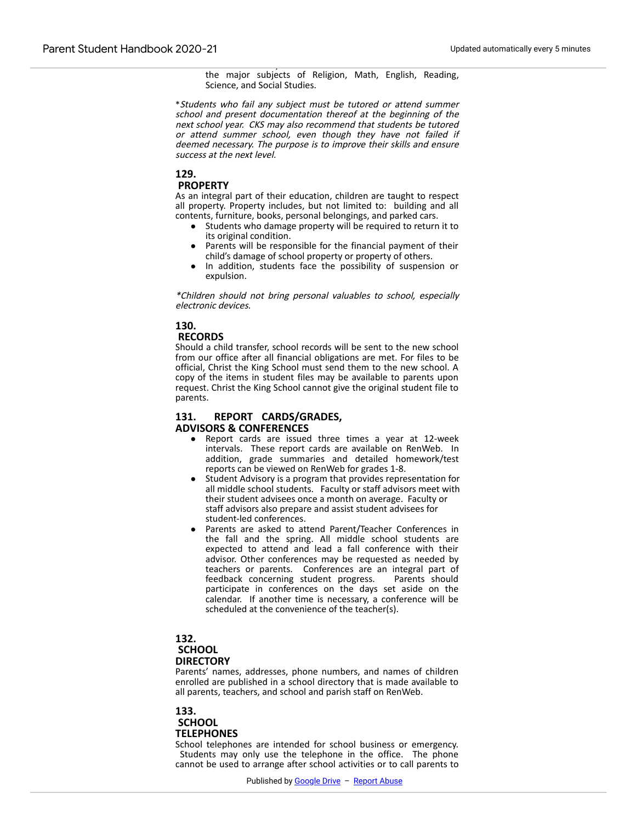considered if they have not achieved a 70% in at least four of the major subjects of Religion, Math, English, Reading, Science, and Social Studies.

\*Students who fail any subject must be tutored or attend summer school and present documentation thereof at the beginning of the next school year. CKS may also recommend that students be tutored or attend summer school, even though they have not failed if deemed necessary. The purpose is to improve their skills and ensure success at the next level.

# **129.**

#### **PROPERTY**

As an integral part of their education, children are taught to respect all property. Property includes, but not limited to: building and all contents, furniture, books, personal belongings, and parked cars.

- Students who damage property will be required to return it to its original condition.
- Parents will be responsible for the financial payment of their child's damage of school property or property of others.
- In addition, students face the possibility of suspension or expulsion.

\*Children should not bring personal valuables to school, especially electronic devices.

# **130.**

#### **RECORDS**

Should a child transfer, school records will be sent to the new school from our office after all financial obligations are met. For files to be official, Christ the King School must send them to the new school. A copy of the items in student files may be available to parents upon request. Christ the King School cannot give the original student file to parents.

#### **131. REPORT CARDS/GRADES, ADVISORS & CONFERENCES**

- Report cards are issued three times a year at 12-week intervals. These report cards are available on RenWeb. In addition, grade summaries and detailed homework/test reports can be viewed on RenWeb for grades 1-8.
- Student Advisory is a program that provides representation for all middle school students. Faculty or staff advisors meet with their student advisees once a month on average. Faculty or staff advisors also prepare and assist student advisees for student-led conferences.
- Parents are asked to attend Parent/Teacher Conferences in the fall and the spring. All middle school students are expected to attend and lead a fall conference with their advisor. Other conferences may be requested as needed by teachers or parents. Conferences are an integral part of feedback concerning student progress. Parents should participate in conferences on the days set aside on the calendar. If another time is necessary, a conference will be scheduled at the convenience of the teacher(s).

# **132. SCHOOL**

#### **DIRECTORY**

Parents' names, addresses, phone numbers, and names of children enrolled are published in a school directory that is made available to all parents, teachers, and school and parish staff on RenWeb.

# **133. SCHOOL TELEPHONES**

School telephones are intended for school business or emergency. Students may only use the telephone in the office. The phone cannot be used to arrange after school activities or to call parents to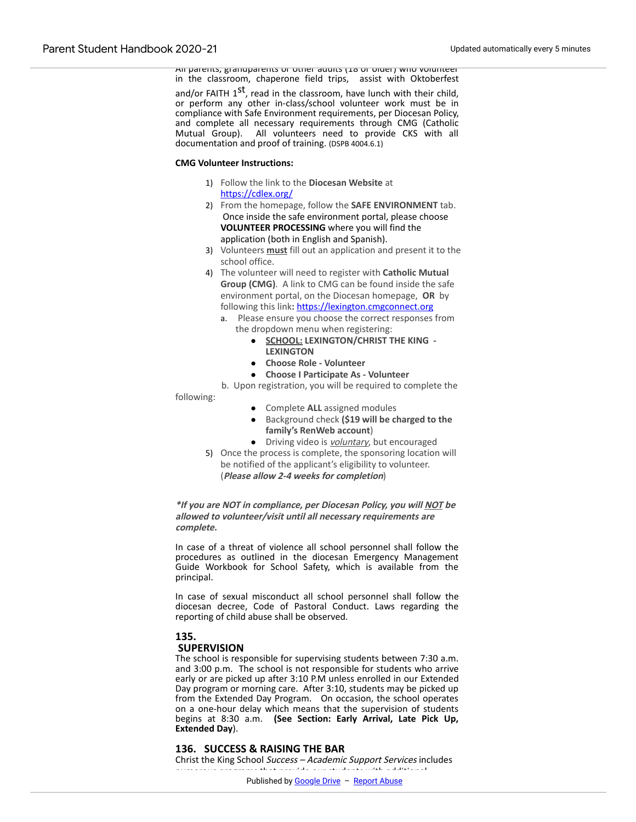All parents, grandparents or other adults (18 or older) who volunteer in the classroom, chaperone field trips, assist with Oktoberfest

and/or FAITH  $1^\text{st}$ , read in the classroom, have lunch with their child, or perform any other in-class/school volunteer work must be in compliance with Safe Environment requirements, per Diocesan Policy, and complete all necessary requirements through CMG (Catholic Mutual Group). All volunteers need to provide CKS with all documentation and proof of training. (DSPB 4004.6.1)

#### **CMG Volunteer Instructions:**

- 1) Follow the link to the **Diocesan Website** at [https://cdlex.org/](https://www.google.com/url?q=https://cdlex.org/&sa=D&source=editors&ust=1612898998509000&usg=AOvVaw2GfhVDJl2St2Q5w_6Mp2D-)
- 2) From the homepage, follow the **SAFE ENVIRONMENT** tab. Once inside the safe environment portal, please choose **VOLUNTEER PROCESSING** where you will find the application (both in English and Spanish).
- 3) Volunteers **must** fill out an application and present it to the school office.
- 4) The volunteer will need to register with **Catholic Mutual Group (CMG)**. A link to CMG can be found inside the safe environment portal, on the Diocesan homepage, **OR** by following this link**:** [https://lexington.cmgconnect.org](https://www.google.com/url?q=https://lexington.cmgconnect.org/&sa=D&source=editors&ust=1612898998510000&usg=AOvVaw0w6qem3T27qEt7C1yoFIil)
	- a. Please ensure you choose the correct responses from the dropdown menu when registering:
		- **SCHOOL: LEXINGTON/CHRIST THE KING - LEXINGTON**
		- **Choose Role Volunteer**
		- **Choose I Participate As Volunteer**

 b. Upon registration, you will be required to complete the following:

- Complete **ALL** assigned modules
- Background check **(\$19 will be charged to the family's RenWeb account**)
- Driving video is **voluntary**, but encouraged
- 5) Once the process is complete, the sponsoring location will be notified of the applicant's eligibility to volunteer. (**Please allow 2-4 weeks for completion**)

**\*If you are NOT in compliance, per Diocesan Policy, you will NOT be allowed to volunteer/visit until all necessary requirements are complete.**

In case of a threat of violence all school personnel shall follow the procedures as outlined in the diocesan Emergency Management Guide Workbook for School Safety, which is available from the principal.

In case of sexual misconduct all school personnel shall follow the diocesan decree, Code of Pastoral Conduct. Laws regarding the reporting of child abuse shall be observed.

# **135.**

# **SUPERVISION**

The school is responsible for supervising students between 7:30 a.m. and 3:00 p.m. The school is not responsible for students who arrive early or are picked up after 3:10 P.M unless enrolled in our Extended Day program or morning care. After 3:10, students may be picked up from the Extended Day Program. On occasion, the school operates on a one-hour delay which means that the supervision of students begins at 8:30 a.m. **(See Section: Early Arrival, Late Pick Up, Extended Day**).

#### **136. SUCCESS & RAISING THE BAR**

Christ the King School Success - Academic Support Services includes numerous programs that provide our students with additional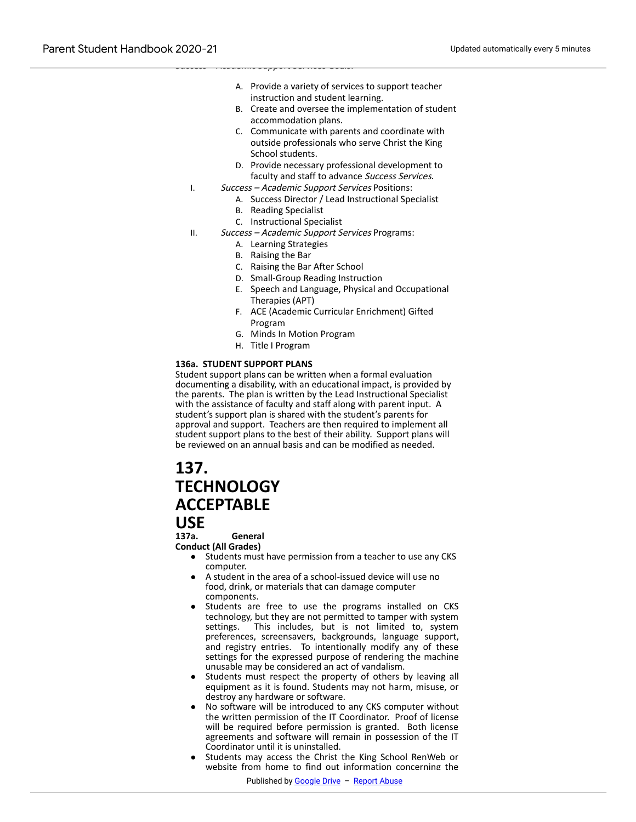- A. Provide a variety of services to support teacher instruction and student learning.
- B. Create and oversee the implementation of student accommodation plans.
- C. Communicate with parents and coordinate with outside professionals who serve Christ the King School students.
- D. Provide necessary professional development to faculty and staff to advance Success Services.
- I. Success Academic Support Services Positions:
	- A. Success Director / Lead Instructional Specialist
		- B. Reading Specialist

Success – Academic Support Services Goals:

- C. Instructional Specialist
- II. Success Academic Support Services Programs:
	- A. Learning Strategies
	- B. Raising the Bar
	- C. Raising the Bar After School
	- D. Small-Group Reading Instruction
	- E. Speech and Language, Physical and Occupational Therapies (APT)
	- F. ACE (Academic Curricular Enrichment) Gifted Program
	- G. Minds In Motion Program
	- H. Title I Program

#### **136a. STUDENT SUPPORT PLANS**

Student support plans can be written when a formal evaluation documenting a disability, with an educational impact, is provided by the parents. The plan is written by the Lead Instructional Specialist with the assistance of faculty and staff along with parent input. A student's support plan is shared with the student's parents for approval and support. Teachers are then required to implement all student support plans to the best of their ability. Support plans will be reviewed on an annual basis and can be modified as needed.

# **137. TECHNOLOGY ACCEPTABLE**

# **USE**<br>137a.

**137a. General**

**Conduct (All Grades)**

- Students must have permission from a teacher to use any CKS computer.
- A student in the area of a school-issued device will use no food, drink, or materials that can damage computer components.
- Students are free to use the programs installed on CKS technology, but they are not permitted to tamper with system settings. This includes, but is not limited to, system preferences, screensavers, backgrounds, language support, and registry entries. To intentionally modify any of these settings for the expressed purpose of rendering the machine unusable may be considered an act of vandalism.
- Students must respect the property of others by leaving all equipment as it is found. Students may not harm, misuse, or destroy any hardware or software.
- No software will be introduced to any CKS computer without the written permission of the IT Coordinator. Proof of license will be required before permission is granted. Both license agreements and software will remain in possession of the IT Coordinator until it is uninstalled.
- Students may access the Christ the King School RenWeb or website from home to find out information concerning the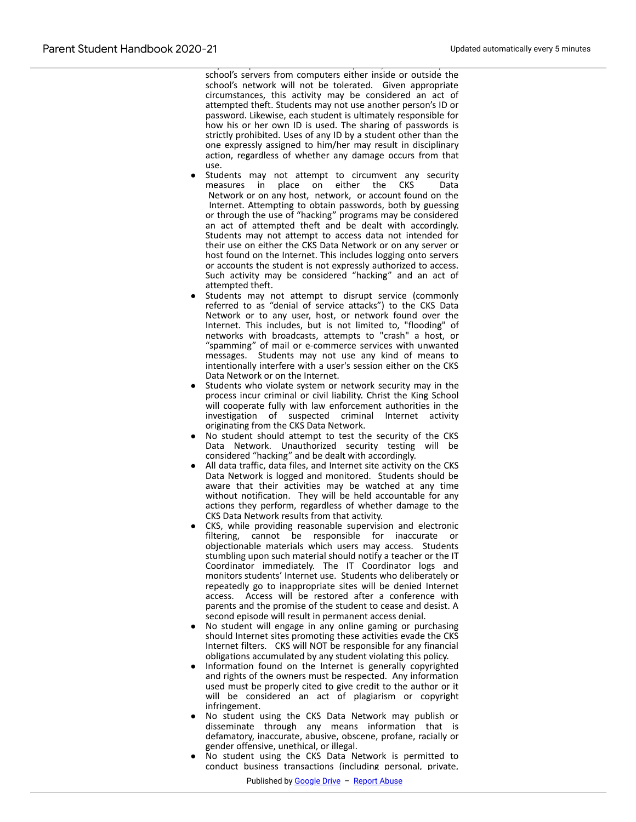$\mathcal{A}$  any attempts to obtain data from (that is,  $\mathcal{A}$  is,  $\mathcal{A}$  is,  $\mathcal{A}$  is,  $\mathcal{A}$  is,  $\mathcal{A}$ school's servers from computers either inside or outside the school's network will not be tolerated. Given appropriate circumstances, this activity may be considered an act of attempted theft. Students may not use another person's ID or password. Likewise, each student is ultimately responsible for how his or her own ID is used. The sharing of passwords is strictly prohibited. Uses of any ID by a student other than the one expressly assigned to him/her may result in disciplinary action, regardless of whether any damage occurs from that use.

- Students may not attempt to circumvent any security measures in place on either the CKS Data Network or on any host, network, or account found on the Internet. Attempting to obtain passwords, both by guessing or through the use of "hacking" programs may be considered an act of attempted theft and be dealt with accordingly. Students may not attempt to access data not intended for their use on either the CKS Data Network or on any server or host found on the Internet. This includes logging onto servers or accounts the student is not expressly authorized to access. Such activity may be considered "hacking" and an act of attempted theft.
- Students may not attempt to disrupt service (commonly referred to as "denial of service attacks") to the CKS Data Network or to any user, host, or network found over the Internet. This includes, but is not limited to, "flooding" of networks with broadcasts, attempts to "crash" a host, or "spamming" of mail or e-commerce services with unwanted messages. Students may not use any kind of means to intentionally interfere with a user's session either on the CKS Data Network or on the Internet.
- Students who violate system or network security may in the process incur criminal or civil liability. Christ the King School will cooperate fully with law enforcement authorities in the investigation of suspected criminal Internet activity originating from the CKS Data Network.
- No student should attempt to test the security of the CKS Data Network. Unauthorized security testing will be considered "hacking" and be dealt with accordingly.
- All data traffic, data files, and Internet site activity on the CKS Data Network is logged and monitored. Students should be aware that their activities may be watched at any time without notification. They will be held accountable for any actions they perform, regardless of whether damage to the CKS Data Network results from that activity.
- CKS, while providing reasonable supervision and electronic filtering, cannot be responsible for inaccurate or objectionable materials which users may access. Students stumbling upon such material should notify a teacher or the IT Coordinator immediately. The IT Coordinator logs and monitors students' Internet use. Students who deliberately or repeatedly go to inappropriate sites will be denied Internet access. Access will be restored after a conference with parents and the promise of the student to cease and desist. A second episode will result in permanent access denial.
- No student will engage in any online gaming or purchasing should Internet sites promoting these activities evade the CKS Internet filters. CKS will NOT be responsible for any financial obligations accumulated by any student violating this policy.
- Information found on the Internet is generally copyrighted and rights of the owners must be respected. Any information used must be properly cited to give credit to the author or it will be considered an act of plagiarism or copyright infringement.
- No student using the CKS Data Network may publish or disseminate through any means information that is defamatory, inaccurate, abusive, obscene, profane, racially or gender offensive, unethical, or illegal.
- No student using the CKS Data Network is permitted to conduct business transactions (including personal, private,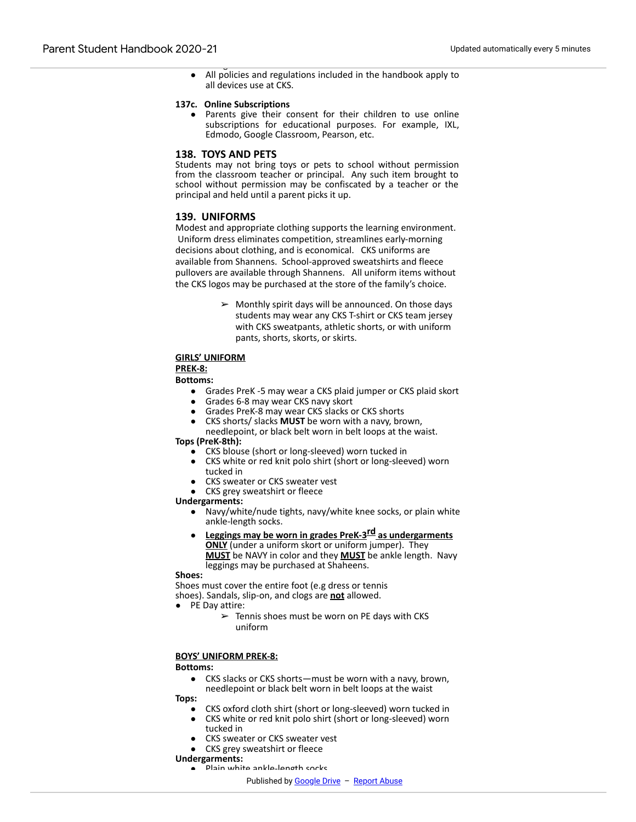Pledge before a student can receive a device. ● All policies and regulations included in the handbook apply to all devices use at CKS.

#### **137c. Online Subscriptions**

● Parents give their consent for their children to use online subscriptions for educational purposes. For example, IXL, Edmodo, Google Classroom, Pearson, etc.

#### **138. TOYS AND PETS**

Students may not bring toys or pets to school without permission from the classroom teacher or principal. Any such item brought to school without permission may be confiscated by a teacher or the principal and held until a parent picks it up.

#### **139. UNIFORMS**

Modest and appropriate clothing supports the learning environment. Uniform dress eliminates competition, streamlines early-morning decisions about clothing, and is economical. CKS uniforms are available from Shannens. School-approved sweatshirts and fleece pullovers are available through Shannens. All uniform items without the CKS logos may be purchased at the store of the family's choice.

> $\triangleright$  Monthly spirit days will be announced. On those days students may wear any CKS T-shirt or CKS team jersey with CKS sweatpants, athletic shorts, or with uniform pants, shorts, skorts, or skirts.

#### **GIRLS' UNIFORM**

#### **PREK-8:**

#### **Bottoms:**

- Grades PreK -5 may wear a CKS plaid jumper or CKS plaid skort
- Grades 6-8 may wear CKS navy skort
- Grades PreK-8 may wear CKS slacks or CKS shorts
- CKS shorts/ slacks **MUST** be worn with a navy, brown,
- needlepoint, or black belt worn in belt loops at the waist. **Tops (PreK-8th):**
	- CKS blouse (short or long-sleeved) worn tucked in
	- CKS white or red knit polo shirt (short or long-sleeved) worn tucked in
	- CKS sweater or CKS sweater vest
	- CKS grey sweatshirt or fleece

#### **Undergarments:**

- Navy/white/nude tights, navy/white knee socks, or plain white ankle-length socks.
- **Leggings may be worn in grades PreK-3rd as undergarments ONLY** (under a uniform skort or uniform jumper). They **MUST** be NAVY in color and they **MUST** be ankle length. Navy leggings may be purchased at Shaheens.

#### **Shoes:**

Shoes must cover the entire foot (e.g dress or tennis shoes). Sandals, slip-on, and clogs are **not** allowed.

- PE Day attire:
	- $\geq$  Tennis shoes must be worn on PE days with CKS uniform

#### **BOYS' UNIFORM PREK-8:**

#### **Bottoms:**

● CKS slacks or CKS shorts—must be worn with a navy, brown, needlepoint or black belt worn in belt loops at the waist

#### **Tops:**

- CKS oxford cloth shirt (short or long-sleeved) worn tucked in
- CKS white or red knit polo shirt (short or long-sleeved) worn tucked in
- CKS sweater or CKS sweater vest
- CKS grey sweatshirt or fleece
- **Undergarments:**
	- .<br>Plain white ankle-length socks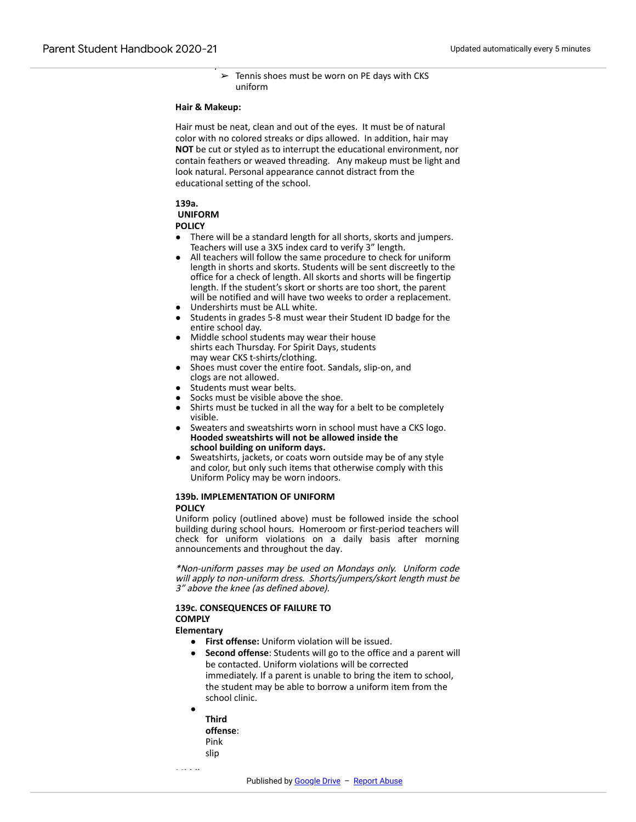● PE Day attire:  $\geq$  Tennis shoes must be worn on PE days with CKS uniform

#### **Hair & Makeup:**

Hair must be neat, clean and out of the eyes. It must be of natural color with no colored streaks or dips allowed. In addition, hair may **NOT** be cut or styled as to interrupt the educational environment, nor contain feathers or weaved threading. Any makeup must be light and look natural. Personal appearance cannot distract from the educational setting of the school.

#### **139a.**

# **UNIFORM**

### **POLICY**

- There will be a standard length for all shorts, skorts and jumpers. Teachers will use a 3X5 index card to verify 3" length.
- All teachers will follow the same procedure to check for uniform length in shorts and skorts. Students will be sent discreetly to the office for a check of length. All skorts and shorts will be fingertip length. If the student's skort or shorts are too short, the parent will be notified and will have two weeks to order a replacement.
- Undershirts must be ALL white.
- Students in grades 5-8 must wear their Student ID badge for the entire school day.
- Middle school students may wear their house shirts each Thursday. For Spirit Days, students may wear CKS t-shirts/clothing.
- Shoes must cover the entire foot. Sandals, slip-on, and clogs are not allowed.
- Students must wear belts.
- Socks must be visible above the shoe.
- Shirts must be tucked in all the way for a belt to be completely visible.
- Sweaters and sweatshirts worn in school must have a CKS logo. **Hooded sweatshirts will not be allowed inside the school building on uniform days.**
- Sweatshirts, jackets, or coats worn outside may be of any style and color, but only such items that otherwise comply with this Uniform Policy may be worn indoors.

#### **139b. IMPLEMENTATION OF UNIFORM POLICY**

Uniform policy (outlined above) must be followed inside the school building during school hours. Homeroom or first-period teachers will check for uniform violations on a daily basis after morning announcements and throughout the day.

\*Non-uniform passes may be used on Mondays only. Uniform code will apply to non-uniform dress. Shorts/jumpers/skort length must be 3" above the knee (as defined above).

#### **139c. CONSEQUENCES OF FAILURE TO COMPLY**

#### **Elementary**

- **First offense:** Uniform violation will be issued.
- **Second offense:** Students will go to the office and a parent will be contacted. Uniform violations will be corrected immediately. If a parent is unable to bring the item to school, the student may be able to borrow a uniform item from the school clinic.
- **Third offense**: Pink slip

**Middle**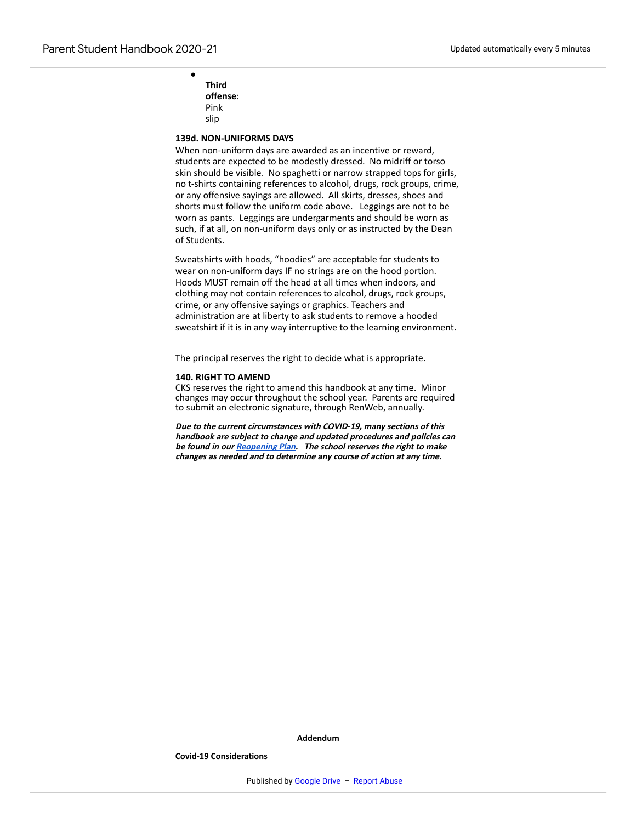**Third offense**: Pink slip

●

#### **139d. NON-UNIFORMS DAYS**

When non-uniform days are awarded as an incentive or reward, students are expected to be modestly dressed. No midriff or torso skin should be visible. No spaghetti or narrow strapped tops for girls, no t-shirts containing references to alcohol, drugs, rock groups, crime, or any offensive sayings are allowed. All skirts, dresses, shoes and shorts must follow the uniform code above. Leggings are not to be worn as pants. Leggings are undergarments and should be worn as such, if at all, on non-uniform days only or as instructed by the Dean of Students.

Sweatshirts with hoods, "hoodies" are acceptable for students to wear on non-uniform days IF no strings are on the hood portion. Hoods MUST remain off the head at all times when indoors, and clothing may not contain references to alcohol, drugs, rock groups, crime, or any offensive sayings or graphics. Teachers and administration are at liberty to ask students to remove a hooded sweatshirt if it is in any way interruptive to the learning environment.

The principal reserves the right to decide what is appropriate.

#### **140. RIGHT TO AMEND**

CKS reserves the right to amend this handbook at any time. Minor changes may occur throughout the school year. Parents are required to submit an electronic signature, through RenWeb, annually.

**Due to the current circumstances with COVID-19, many sections of this handbook are subject to change and updated procedures and policies can be found in our [Reopening](https://www.google.com/url?q=https://ctkschool.net/application/files/3315/9744/7571/Final_Operations_Plan_for_Reopening_CKS_rev_8-13-20.pdf&sa=D&source=editors&ust=1612898998522000&usg=AOvVaw0hoh-1naDBTcVCL28c3xCl) Plan. The school reserves the right to make changes as needed and to determine any course of action at any time.**

**Addendum**

**Covid-19 Considerations**